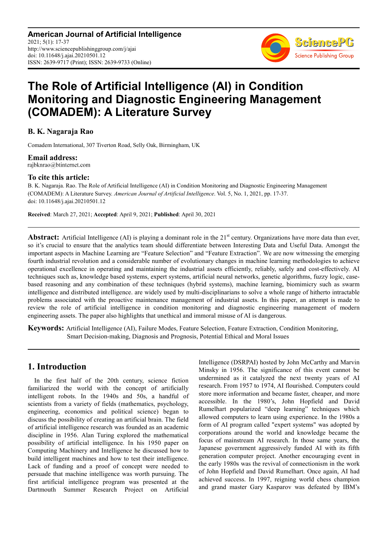**American Journal of Artificial Intelligence** 2021; 5(1): 17-37 http://www.sciencepublishinggroup.com/j/ajai doi: 10.11648/j.ajai.20210501.12 ISSN: 2639-9717 (Print); ISSN: 2639-9733 (Online)



# **The Role of Artificial Intelligence (AI) in Condition Monitoring and Diagnostic Engineering Management (COMADEM): A Literature Survey**

**B. K. Nagaraja Rao** 

Comadem International, 307 Tiverton Road, Selly Oak, Birmingham, UK

**Email address:**<br>rajbknrao@btinternet.com

#### **To cite this article:**

B. K. Nagaraja. Rao. The Role of Artificial Intelligence (AI) in Condition Monitoring and Diagnostic Engineering Management (COMADEM): A Literature Survey. *American Journal of Artificial Intelligence*. Vol. 5, No. 1, 2021, pp. 17-37. doi: 10.11648/j.ajai.20210501.12

**Received**: March 27, 2021; **Accepted**: April 9, 2021; **Published**: April 30, 2021

**Abstract:** Artificial Intelligence (AI) is playing a dominant role in the 21<sup>st</sup> century. Organizations have more data than ever, so it's crucial to ensure that the analytics team should differentiate between Interesting Data and Useful Data. Amongst the important aspects in Machine Learning are "Feature Selection" and "Feature Extraction". We are now witnessing the emerging fourth industrial revolution and a considerable number of evolutionary changes in machine learning methodologies to achieve operational excellence in operating and maintaining the industrial assets efficiently, reliably, safely and cost-effectively. AI techniques such as, knowledge based systems, expert systems, artificial neural networks, genetic algorithms, fuzzy logic, casebased reasoning and any combination of these techniques (hybrid systems), machine learning, biomimicry such as swarm intelligence and distributed intelligence. are widely used by multi-disciplinarians to solve a whole range of hitherto intractable problems associated with the proactive maintenance management of industrial assets. In this paper, an attempt is made to review the role of artificial intelligence in condition monitoring and diagnostic engineering management of modern engineering assets. The paper also highlights that unethical and immoral misuse of AI is dangerous.

**Keywords:** Artificial Intelligence (AI), Failure Modes, Feature Selection, Feature Extraction, Condition Monitoring, Smart Decision-making, Diagnosis and Prognosis, Potential Ethical and Moral Issues

### **1. Introduction**

In the first half of the 20th century, science fiction familiarized the world with the concept of artificially intelligent robots. In the 1940s and 50s, a handful of scientists from a variety of fields (mathematics, psychology, engineering, economics and political science) began to discuss the possibility of creating an artificial brain. The field of artificial intelligence research was founded as an academic discipline in 1956. Alan Turing explored the mathematical possibility of artificial intelligence. In his 1950 paper on Computing Machinery and Intelligence he discussed how to build intelligent machines and how to test their intelligence. Lack of funding and a proof of concept were needed to persuade that machine intelligence was worth pursuing. The first artificial intelligence program was presented at the Dartmouth Summer Research Project on Artificial

Intelligence (DSRPAI) hosted by John McCarthy and Marvin Minsky in 1956. The significance of this event cannot be undermined as it catalyzed the next twenty years of AI research. From 1957 to 1974, AI flourished. Computers could store more information and became faster, cheaper, and more accessible. In the 1980's, John Hopfield and David Rumelhart popularized "deep learning" techniques which allowed computers to learn using experience. In the 1980s a form of AI program called "expert systems" was adopted by corporations around the world and knowledge became the focus of mainstream AI research. In those same years, the Japanese government aggressively funded AI with its fifth generation computer project. Another encouraging event in the early 1980s was the revival of connectionism in the work of John Hopfield and David Rumelhart. Once again, AI had achieved success. In 1997, reigning world chess champion and grand master Gary Kasparov was defeated by IBM's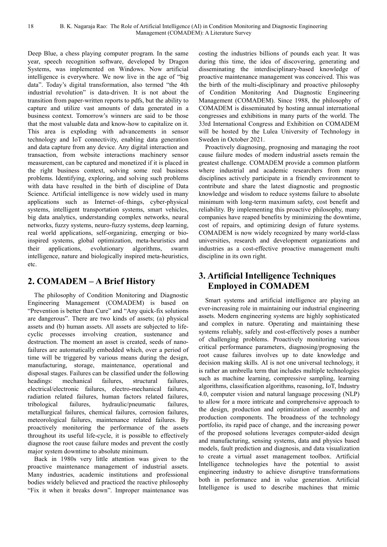Deep Blue, a chess playing computer program. In the same year, speech recognition software, developed by Dragon Systems, was implemented on Windows. Now artificial intelligence is everywhere. We now live in the age of "big data". Today's digital transformation, also termed "the 4th industrial revolution" is data-driven. It is not about the transition from paper-written reports to pdfs, but the ability to capture and utilize vast amounts of data generated in a business context. Tomorrow's winners are said to be those that the most valuable data and know-how to capitalize on it. This area is exploding with advancements in sensor technology and IoT connectivity, enabling data generation and data capture from any device. Any digital interaction and transaction, from website interactions machinery sensor measurement, can be captured and monetized if it is placed in the right business context, solving some real business problems. Identifying, exploring, and solving such problems with data have resulted in the birth of discipline of Data Science. Artificial intelligence is now widely used in many applications such as Internet–of–things, cyber-physical systems, intelligent transportation systems, smart vehicles, big data analytics, understanding complex networks, neural networks, fuzzy systems, neuro-fuzzy systems, deep learning, real world applications, self-organizing, emerging or bioinspired systems, global optimization, meta-heuristics and their applications, evolutionary algorithms, swarm intelligence, nature and biologically inspired meta-heuristics, etc.

## **2. COMADEM – A Brief History**

The philosophy of Condition Monitoring and Diagnostic Engineering Management (COMADEM) is based on "Prevention is better than Cure" and "Any quick-fix solutions are dangerous". There are two kinds of assets; (a) physical assets and (b) human assets. All assets are subjected to lifecyclic processes involving creation, sustenance and destruction. The moment an asset is created, seeds of nanofailures are automatically embedded which, over a period of time will be triggered by various means during the design, manufacturing, storage, maintenance, operational and disposal stages. Failures can be classified under the following headings: mechanical failures, structural failures, electrical/electronic failures, electro-mechanical failures, radiation related failures, human factors related failures, tribological failures, hydraulic/pneumatic failures, metallurgical failures, chemical failures, corrosion failures, meteorological failures, maintenance related failures. By proactively monitoring the performance of the assets throughout its useful life-cycle, it is possible to effectively diagnose the root cause failure modes and prevent the costly major system downtime to absolute minimum.

Back in 1980s very little attention was given to the proactive maintenance management of industrial assets. Many industries, academic institutions and professional bodies widely believed and practiced the reactive philosophy "Fix it when it breaks down". Improper maintenance was

costing the industries billions of pounds each year. It was during this time, the idea of discovering, generating and disseminating the interdisciplinary-based knowledge of proactive maintenance management was conceived. This was the birth of the multi-disciplinary and proactive philosophy of Condition Monitoring And Diagnostic Engineering Management (COMADEM). Since 1988, the philosophy of COMADEM is disseminated by hosting annual international congresses and exhibitions in many parts of the world. The 33rd International Congress and Exhibition on COMADEM will be hosted by the Lulea University of Technology in Sweden in October 2021.

Proactively diagnosing, prognosing and managing the root cause failure modes of modern industrial assets remain the greatest challenge. COMADEM provide a common platform where industrial and academic researchers from many disciplines actively participate in a friendly environment to contribute and share the latest diagnostic and prognostic knowledge and wisdom to reduce systems failure to absolute minimum with long-term maximum safety, cost benefit and reliability. By implementing this proactive philosophy, many companies have reaped benefits by minimizing the downtime, cost of repairs, and optimizing design of future systems. COMADEM is now widely recognized by many world-class universities, research and development organizations and industries as a cost-effective proactive management multi discipline in its own right.

### **3. Artificial Intelligence Techniques Employed in COMADEM**

Smart systems and artificial intelligence are playing an ever-increasing role in maintaining our industrial engineering assets. Modern engineering systems are highly sophisticated and complex in nature. Operating and maintaining these systems reliably, safely and cost-effectively poses a number of challenging problems. Proactively monitoring various critical performance parameters, diagnosing/prognosing the root cause failures involves up to date knowledge and decision making skills. AI is not one universal technology, it is rather an umbrella term that includes multiple technologies such as machine learning, compressive sampling, learning algorithms, classification algorithms, reasoning, IoT, Industry 4.0, computer vision and natural language processing (NLP) to allow for a more intricate and comprehensive approach to the design, production and optimization of assembly and production components. The broadness of the technology portfolio, its rapid pace of change, and the increasing power of the proposed solutions leverages computer-aided design and manufacturing, sensing systems, data and physics based models, fault prediction and diagnosis, and data visualization to create a virtual asset management toolbox. Artificial Intelligence technologies have the potential to assist engineering industry to achieve disruptive transformations both in performance and in value generation. Artificial Intelligence is used to describe machines that mimic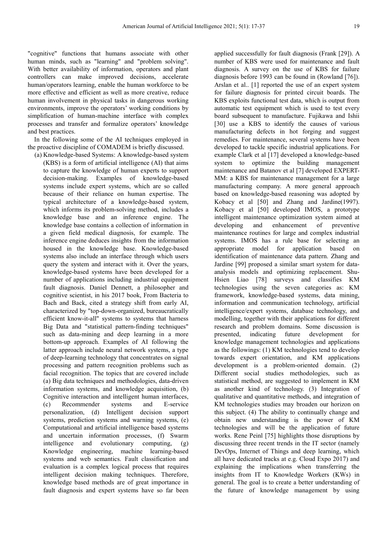"cognitive" functions that humans associate with other human minds, such as "learning" and "problem solving". With better availability of information, operators and plant controllers can make improved decisions, accelerate human/operators learning, enable the human workforce to be more effective and efficient as well as more creative, reduce human involvement in physical tasks in dangerous working environments, improve the operators' working conditions by simplification of human-machine interface with complex processes and transfer and formalize operators' knowledge and best practices.

In the following some of the AI techniques employed in the proactive discipline of COMADEM is briefly discussed.

(a) Knowledge-based Systems: A knowledge-based system (KBS) is a form of artificial intelligence (AI) that aims to capture the knowledge of human experts to support decision-making. Examples of knowledge-based systems include expert systems, which are so called because of their reliance on human expertise. The typical architecture of a knowledge-based system, which informs its problem-solving method, includes a knowledge base and an inference engine. The knowledge base contains a collection of information in a given field medical diagnosis, for example. The inference engine deduces insights from the information housed in the knowledge base. Knowledge-based systems also include an interface through which users query the system and interact with it. Over the years, knowledge-based systems have been developed for a number of applications including industrial equipment fault diagnosis. Daniel Dennett, a philosopher and cognitive scientist, in his 2017 book, From Bacteria to Bach and Back, cited a strategy shift from early AI, characterized by "top-down-organized, bureaucratically efficient know-it-all" systems to systems that harness Big Data and "statistical pattern-finding techniques" such as data-mining and deep learning in a more bottom-up approach. Examples of AI following the latter approach include neural network systems, a type of deep-learning technology that concentrates on signal processing and pattern recognition problems such as facial recognition. The topics that are covered include (a) Big data techniques and methodologies, data-driven information systems, and knowledge acquisition, (b) Cognitive interaction and intelligent human interfaces, (c) Recommender systems and E-service personalization, (d) Intelligent decision support systems, prediction systems and warning systems, (e) Computational and artificial intelligence based systems and uncertain information processes, (f) Swarm intelligence and evolutionary computing, (g) Knowledge engineering, machine learning-based systems and web semantics. Fault classification and evaluation is a complex logical process that requires intelligent decision making techniques. Therefore, knowledge based methods are of great importance in fault diagnosis and expert systems have so far been applied successfully for fault diagnosis (Frank [29]). A number of KBS were used for maintenance and fault diagnosis. A survey on the use of KBS for failure diagnosis before 1993 can be found in (Rowland [76]). Arslan et al.. [1] reported the use of an expert system for failure diagnosis for printed circuit boards. The KBS exploits functional test data, which is output from automatic test equipment which is used to test every board subsequent to manufacture. Fujikawa and Ishii [30] use a KBS to identify the causes of various manufacturing defects in hot forging and suggest remedies. For maintenance, several systems have been developed to tackle specific industrial applications. For example Clark et al [17] developed a knowledge-based system to optimize the building management maintenance and Batanov et al [7] developed EXPERT-MM: a KBS for maintenance management for a large manufacturing company. A more general approach based on knowledge-based reasoning was adopted by Kobacy et al [50] and Zhang and Jardine(1997). Kobacy et al [50] developed IMOS, a prototype intelligent maintenance optimization system aimed at developing and enhancement of preventive maintenance routines for large and complex industrial systems. IMOS has a rule base for selecting an appropriate model for application based on identification of maintenance data pattern. Zhang and Jardine [99] proposed a similar smart system for dataanalysis models and optimizing replacement. Shu-Hsien Liao [78] surveys and classifies KM technologies using the seven categories as: KM framework, knowledge-based systems, data mining, information and communication technology, artificial intelligence/expert systems, database technology, and modelling, together with their applications for different research and problem domains. Some discussion is presented, indicating future development for knowledge management technologies and applications as the followings: (1) KM technologies tend to develop towards expert orientation, and KM applications development is a problem-oriented domain. (2) Different social studies methodologies, such as statistical method, are suggested to implement in KM as another kind of technology. (3) Integration of qualitative and quantitative methods, and integration of KM technologies studies may broaden our horizon on this subject. (4) The ability to continually change and obtain new understanding is the power of KM technologies and will be the application of future works. Rene Peinl [75] highlights those disruptions by discussing three recent trends in the IT sector (namely DevOps, Internet of Things and deep learning, which all have dedicated tracks at e.g. Cloud Expo 2017) and explaining the implications when transferring the insights from IT to Knowledge Workers (KWs) in general. The goal is to create a better understanding of the future of knowledge management by using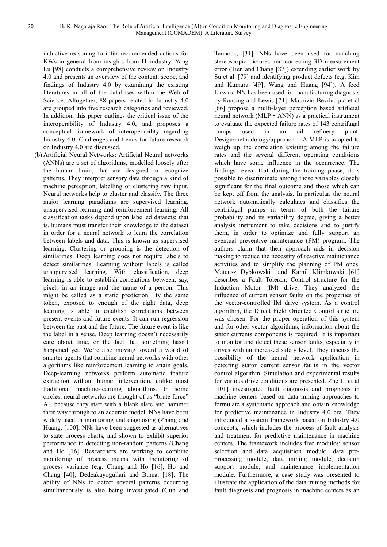inductive reasoning to infer recommended actions for KWs in general from insights from IT industry. Yang Lu [98] conducts a comprehensive review on Industry 4.0 and presents an overview of the content, scope, and findings of Industry 4.0 by examining the existing literatures in all of the databases within the Web of Science. Altogether, 88 papers related to Industry 4.0 are grouped into five research categories and reviewed. In addition, this paper outlines the critical issue of the interoperability of Industry 4.0, and proposes a conceptual framework of interoperability regarding Industry 4.0. Challenges and trends for future research on Industry 4.0 are discussed.

(b) Artificial Neural Networks: Artificial Neural networks (ANNs) are a set of algorithms, modelled loosely after the human brain, that are designed to recognize patterns. They interpret sensory data through a kind of machine perception, labelling or clustering raw input. Neural networks help to cluster and classify. The three major learning paradigms are supervised learning, unsupervised learning and reinforcement learning. All classification tasks depend upon labelled datasets; that is, humans must transfer their knowledge to the dataset in order for a neural network to learn the correlation between labels and data. This is known as supervised learning. Clustering or grouping is the detection of similarities. Deep learning does not require labels to detect similarities. Learning without labels is called unsupervised learning. With classification, deep learning is able to establish correlations between, say, pixels in an image and the name of a person. This might be called as a static prediction. By the same token, exposed to enough of the right data, deep learning is able to establish correlations between present events and future events. It can run regression between the past and the future. The future event is like the label in a sense. Deep learning doesn't necessarily care about time, or the fact that something hasn't happened yet. We're also moving toward a world of smarter agents that combine neural networks with other algorithms like reinforcement learning to attain goals. Deep-learning networks perform automatic feature extraction without human intervention, unlike most traditional machine-learning algorithms. In some circles, neural networks are thought of as "brute force" AI, because they start with a blank slate and hammer their way through to an accurate model. NNs have been widely used in monitoring and diagnosing (Zhang and Huang, [100]. NNs have been suggested as alternatives to state process charts, and shown to exhibit superior performance in detecting non-random patterns (Chang and Ho [16]. Researchers are working to combine monitoring of process means with monitoring of process variance (e.g. Chang and Ho [16], Ho and Chang [40], Dedeakayogullari and Buma, [18]. The ability of NNs to detect several patterns occurring simultaneously is also being investigated (Guh and Tannock, [31]. NNs have been used for matching stereoscopic pictures and correcting 3D measurement error (Tien and Chang [87]) extending earlier work by Su et al. [79] and identifying product defects (e.g. Kim and Kumara [49]; Wang and Huang [94]). A feed forward NN has been used for manufacturing diagnosis by Ransing and Lewis [74]. Maurizio Bevilacqua et al [66] propose a multi-layer perception based artificial neural network (MLP‐ANN) as a practical instrument to evaluate the expected failure rates of 143 centrifugal pumps used in an oil refinery plant. Design/methodology/approach – A MLP is adopted to weigh up the correlation existing among the failure rates and the several different operating conditions which have some influence in the occurrence. The findings reveal that during the training phase, it is possible to discriminate among those variables closely significant for the final outcome and those which can be kept off from the analysis. In particular, the neural network automatically calculates and classifies the centrifugal pumps in terms of both the failure probability and its variability degree, giving a better analysis instrument to take decisions and to justify them, in order to optimize and fully support an eventual preventive maintenance (PM) program. The authors claim that their approach aids in decision making to reduce the necessity of reactive maintenance activities and to simplify the planning of PM ones. Mateusz Dybkowski1 and Kamil Klimkowski [61] describes a Fault Tolerant Control structure for the Induction Motor (IM) drive. They analyzed the influence of current sensor faults on the properties of the vector-controlled IM drive system. As a control algorithm, the Direct Field Oriented Control structure was chosen. For the proper operation of this system and for other vector algorithms, information about the stator currents components is required. It is important to monitor and detect these sensor faults, especially in drives with an increased safety level. They discuss the possibility of the neural network application in detecting stator current sensor faults in the vector control algorithm. Simulation and experimental results for various drive conditions are presented. Zhe Li et al [101] investigated fault diagnosis and prognosis in machine centers based on data mining approaches to formulate a systematic approach and obtain knowledge for predictive maintenance in Industry 4.0 era. They introduced a system framework based on Industry 4.0 concepts, which includes the process of fault analysis and treatment for predictive maintenance in machine centers. The framework includes five modules: sensor selection and data acquisition module, data preprocessing module, data mining module, decision support module, and maintenance implementation module. Furthermore, a case study was presented to illustrate the application of the data mining methods for fault diagnosis and prognosis in machine centers as an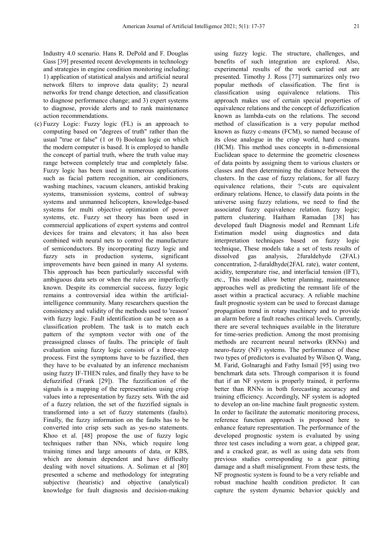to diagnose, provide alerts and to rank maintenance

action recommendations. (c) Fuzzy Logic: Fuzzy logic (FL) is an approach to computing based on "degrees of truth" rather than the usual "true or false" (1 or 0) Boolean logic on which the modern computer is based. It is employed to handle the concept of partial truth, where the truth value may range between completely true and completely false. Fuzzy logic has been used in numerous applications such as facial pattern recognition, air conditioners, washing machines, vacuum cleaners, antiskid braking systems, transmission systems, control of subway systems and unmanned helicopters, knowledge-based systems for multi objective optimization of power systems, etc. Fuzzy set theory has been used in commercial applications of expert systems and control devices for trains and elevators; it has also been combined with neural nets to control the manufacture of semiconductors. By incorporating fuzzy logic and fuzzy sets in production systems, significant improvements have been gained in many AI systems. This approach has been particularly successful with ambiguous data sets or when the rules are imperfectly known. Despite its commercial success, fuzzy logic remains a controversial idea within the artificialintelligence community. Many researchers question the consistency and validity of the methods used to 'reason' with fuzzy logic. Fault identification can be seen as a classification problem. The task is to match each pattern of the symptom vector with one of the preassigned classes of faults. The principle of fault evaluation using fuzzy logic consists of a three-step process. First the symptoms have to be fuzzified, then they have to be evaluated by an inference mechanism using fuzzy IF-THEN rules, and finally they have to be defuzzified (Frank [29]). The fuzzification of the signals is a mapping of the representation using crisp values into a representation by fuzzy sets. With the aid of a fuzzy relation, the set of the fuzzified signals is transformed into a set of fuzzy statements (faults). Finally, the fuzzy information on the faults has to be converted into crisp sets such as yes-no statements. Khoo et al. [48] propose the use of fuzzy logic techniques rather than NNs, which require long training times and large amounts of data, or KBS, which are domain dependent and have difficulty dealing with novel situations. A. Soliman et al [80] presented a scheme and methodology for integrating subjective (heuristic) and objective (analytical) knowledge for fault diagnosis and decision-making using fuzzy logic. The structure, challenges, and benefits of such integration are explored. Also, experimental results of the work carried out are presented. Timothy J. Ross [77] summarizes only two popular methods of classification. The first is classification using equivalence relations. This approach makes use of certain special properties of equivalence relations and the concept of defuzzification known as lambda-cuts on the relations. The second method of classification is a very popular method known as fuzzy c-means (FCM), so named because of its close analogue in the crisp world, hard c-means (HCM). This method uses concepts in n-dimensional Euclidean space to determine the geometric closeness of data points by assigning them to various clusters or classes and then determining the distance between the clusters. In the case of fuzzy relations, for all fuzzy equivalence relations, their ?-cuts are equivalent ordinary relations. Hence, to classify data points in the universe using fuzzy relations, we need to find the associated fuzzy equivalence relation. fuzzy logic; pattern clustering. Haitham Ramadan [38] has developed fault Diagnosis model and Remnant Life Estimation model using diagnostics and data interpretation techniques based on fuzzy logic technique, These models take a set of tests results of dissolved gas analysis, 2furaldehyde (2FAL) concentration, 2-furaldhyde(2FAL rate), water content, acidity, temperature rise, and interfacial tension (IFT), etc., This model allow better planning, maintenance approaches well as predicting the remnant life of the asset within a practical accuracy. A reliable machine fault prognostic system can be used to forecast damage propagation trend in rotary machinery and to provide an alarm before a fault reaches critical levels. Currently, there are several techniques available in the literature for time-series prediction. Among the most promising methods are recurrent neural networks (RNNs) and neuro-fuzzy (NF) systems. The performance of these two types of predictors is evaluated by Wilson Q. Wang, M. Farid, Golnaraghi and Fathy Ismail [95] using two benchmark data sets. Through comparison it is found that if an NF system is properly trained, it performs better than RNNs in both forecasting accuracy and training efficiency. Accordingly, NF system is adopted to develop an on-line machine fault prognostic system. In order to facilitate the automatic monitoring process, reference function approach is proposed here to enhance feature representation. The performance of the developed prognostic system is evaluated by using three test cases including a worn gear, a chipped gear, and a cracked gear, as well as using data sets from previous studies corresponding to a gear pitting damage and a shaft misalignment. From these tests, the NF prognostic system is found to be a very reliable and robust machine health condition predictor. It can capture the system dynamic behavior quickly and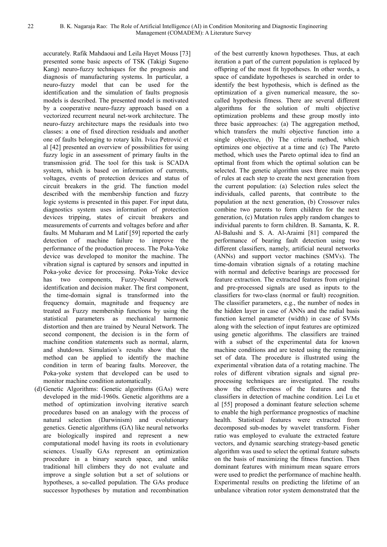accurately. Rafik Mahdaoui and Leila Hayet Mouss [73] presented some basic aspects of TSK (Takigi Sugeno Kang) neuro-fuzzy techniques for the prognosis and diagnosis of manufacturing systems. In particular, a neuro-fuzzy model that can be used for the identification and the simulation of faults prognosis models is described. The presented model is motivated by a cooperative neuro-fuzzy approach based on a vectorized recurrent neural net-work architecture. The neuro-fuzzy architecture maps the residuals into two classes: a one of fixed direction residuals and another one of faults belonging to rotary kiln. Ivica Petrović et al [42] presented an overview of possibilities for using fuzzy logic in an assessment of primary faults in the transmission grid. The tool for this task is SCADA system, which is based on information of currents, voltages, events of protection devices and status of circuit breakers in the grid. The function model described with the membership function and fuzzy logic systems is presented in this paper. For input data, diagnostics system uses information of protection devices tripping, states of circuit breakers and measurements of currents and voltages before and after faults. M Muharam and M Latif [59] reported the early detection of machine failure to improve the performance of the production process. The Poka-Yoke device was developed to monitor the machine. The vibration signal is captured by sensors and inputted in Poka-yoke device for processing. Poka-Yoke device has two components, Fuzzy-Neural Network identification and decision maker. The first component, the time-domain signal is transformed into the frequency domain, magnitude and frequency are treated as Fuzzy membership functions by using the statistical parameters as mechanical harmonic distortion and then are trained by Neural Network. The second component, the decision is in the form of machine condition statements such as normal, alarm, and shutdown. Simulation's results show that the method can be applied to identify the machine condition in term of bearing faults. Moreover, the Poka-yoke system that developed can be used to monitor machine condition automatically.

(d) Genetic Algorithms: Genetic algorithms (GAs) were developed in the mid-1960s. Genetic algorithms are a method of optimization involving iterative search procedures based on an analogy with the process of natural selection (Darwinism) and evolutionary genetics. Genetic algorithms (GA) like neural networks are biologically inspired and represent a new computational model having its roots in evolutionary sciences. Usually GAs represent an optimization procedure in a binary search space, and unlike traditional hill climbers they do not evaluate and improve a single solution but a set of solutions or hypotheses, a so-called population. The GAs produce successor hypotheses by mutation and recombination

of the best currently known hypotheses. Thus, at each iteration a part of the current population is replaced by offspring of the most fit hypotheses. In other words, a space of candidate hypotheses is searched in order to identify the best hypothesis, which is defined as the optimization of a given numerical measure, the socalled hypothesis fitness. There are several different algorithms for the solution of multi objective optimization problems and these group mostly into three basic approaches: (a) The aggregation method, which transfers the multi objective function into a single objective, (b) The criteria method, which optimizes one objective at a time and (c) The Pareto method, which uses the Pareto optimal idea to find an optimal front from which the optimal solution can be selected. The genetic algorithm uses three main types of rules at each step to create the next generation from the current population: (a) Selection rules select the individuals, called parents, that contribute to the population at the next generation, (b) Crossover rules combine two parents to form children for the next generation, (c) Mutation rules apply random changes to individual parents to form children. B. Samanta, K. R. Al-Balushi and S. A. Al-Araimi [81] compared the performance of bearing fault detection using two different classifiers, namely, artificial neural networks (ANNs) and support vector machines (SMVs). The time-domain vibration signals of a rotating machine with normal and defective bearings are processed for feature extraction. The extracted features from original and pre-processed signals are used as inputs to the classifiers for two-class (normal or fault) recognition. The classifier parameters, e.g., the number of nodes in the hidden layer in case of ANNs and the radial basis function kernel parameter (width) in case of SVMs along with the selection of input features are optimized using genetic algorithms. The classifiers are trained with a subset of the experimental data for known machine conditions and are tested using the remaining set of data. The procedure is illustrated using the experimental vibration data of a rotating machine. The roles of different vibration signals and signal preprocessing techniques are investigated. The results show the effectiveness of the features and the classifiers in detection of machine condition. Lei Lu et al [55] proposed a dominant feature selection scheme to enable the high performance prognostics of machine health. Statistical features were extracted from decomposed sub-modes by wavelet transform. Fisher ratio was employed to evaluate the extracted feature vectors, and dynamic searching strategy-based genetic algorithm was used to select the optimal feature subsets on the basis of maximizing the fitness function. Then dominant features with minimum mean square errors were used to predict the performance of machine health. Experimental results on predicting the lifetime of an unbalance vibration rotor system demonstrated that the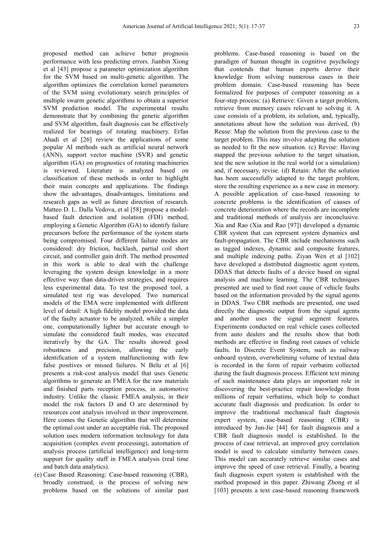proposed method can achieve better prognosis performance with less predicting errors. Jianbin Xiong et al [43] propose a parameter optimization algorithm for the SVM based on multi-genetic algorithm. The algorithm optimizes the correlation kernel parameters of the SVM using evolutionary search principles of multiple swarm genetic algorithms to obtain a superior SVM prediction model. The experimental results demonstrate that by combining the genetic algorithm and SVM algorithm, fault diagnosis can be effectively realized for bearings of rotating machinery. Erfan Ahadi et al [26] review the applications of some popular AI methods such as artificial neural network (ANN), support vector machine (SVR) and genetic algorithm (GA) on prognostics of rotating machineries is reviewed. Literature is analyzed based on classification of these methods in order to highlight their main concepts and applications. The findings show the advantages, disadvantages, limitations and research gaps as well as future direction of research. Matteo D. L. Dalla Vedova, et al [58] propose a model-

based fault detection and isolation (FDI) method, employing a Genetic Algorithm (GA) to identify failure precursors before the performance of the system starts being compromised. Four different failure modes are considered: dry friction, backlash, partial coil short circuit, and controller gain drift. The method presented in this work is able to deal with the challenge leveraging the system design knowledge in a more effective way than data-driven strategies, and requires less experimental data. To test the proposed tool, a simulated test rig was developed. Two numerical models of the EMA were implemented with different level of detail: A high fidelity model provided the data of the faulty actuator to be analyzed, while a simpler one, computationally lighter but accurate enough to simulate the considered fault modes, was executed iteratively by the GA. The results showed good robustness and precision, allowing the early identification of a system malfunctioning with few false positives or missed failures. N Belu et al [6] presents a risk-cost analysis model that uses Genetic algorithms to generate an FMEA for the raw materials and finished parts reception process, in automotive industry. Unlike the classic FMEA analysis, in their model the risk factors D and O are determined by resources cost analysis involved in their improvement. Here comes the Genetic algorithm that will determine the optimal cost under an acceptable risk. The proposed solution uses modern information technology for data acquisition (complex event processing), automation of analysis process (artificial intelligence) and long-term support for quality staff in FMEA analysis (real time and batch data analytics).

(e) Case Based Reasoning: Case-based reasoning (CBR), broadly construed, is the process of solving new problems based on the solutions of similar past problems. Case-based reasoning is based on the paradigm of human thought in cognitive psychology that contends that human experts derive their knowledge from solving numerous cases in their problem domain. Case-based reasoning has been formalized for purposes of computer reasoning as a four-step process: (a) Retrieve: Given a target problem, retrieve from memory cases relevant to solving it. A case consists of a problem, its solution, and, typically, annotations about how the solution was derived, (b) Reuse: Map the solution from the previous case to the target problem. This may involve adapting the solution as needed to fit the new situation. (c) Revise: Having mapped the previous solution to the target situation, test the new solution in the real world (or a simulation) and, if necessary, revise. (d) Retain: After the solution has been successfully adapted to the target problem, store the resulting experience as a new case in memory. A possible application of case-based reasoning to concrete problems is the identification of causes of concrete deterioration where the records are incomplete and traditional methods of analysis are inconclusive. Xia and Rao (Xia and Rao [97]) developed a dynamic CBR system that can represent system dynamics and fault-propagation. The CBR include mechanisms such as tagged indexes, dynamic and composite features, and multiple indexing paths. Ziyan Wen et al [102] have developed a distributed diagnostic agent system, DDAS that detects faults of a device based on signal analysis and machine learning. The CBR techniques presented are used to find root cause of vehicle faults based on the information provided by the signal agents in DDAS. Two CBR methods are presented, one used directly the diagnostic output from the signal agents and another uses the signal segment features. Experiments conducted on real vehicle cases collected from auto dealers and the results show that both methods are effective in finding root causes of vehicle faults. In Discrete Event System, such as railway onboard system, overwhelming volume of textual data is recorded in the form of repair verbatim collected during the fault diagnosis process. Efficient text mining of such maintenance data plays an important role in discovering the best-practice repair knowledge from millions of repair verbatims, which help to conduct accurate fault diagnosis and predication. In order to improve the traditional mechanical fault diagnosis expert system, case-based reasoning (CBR) is introduced by Jun-Jie [44] for fault diagnosis and a CBR fault diagnosis model is established. In the process of case retrieval, an improved grey correlation model is used to calculate similarity between cases. This model can accurately retrieve similar cases and improve the speed of case retrieval. Finally, a bearing fault diagnosis expert system is established with the method proposed in this paper. Zhiwang Zhong et al [103] presents a text case-based reasoning framework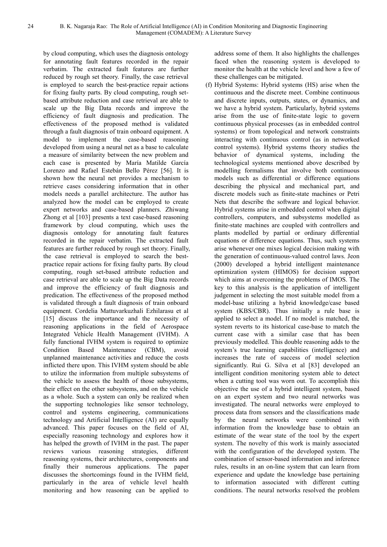by cloud computing, which uses the diagnosis ontology for annotating fault features recorded in the repair verbatim. The extracted fault features are further reduced by rough set theory. Finally, the case retrieval is employed to search the best-practice repair actions for fixing faulty parts. By cloud computing, rough setbased attribute reduction and case retrieval are able to scale up the Big Data records and improve the efficiency of fault diagnosis and predication. The effectiveness of the proposed method is validated through a fault diagnosis of train onboard equipment. A model to implement the case-based reasoning developed from using a neural net as a base to calculate a measure of similarity between the new problem and each case is presented by María Matilde García Lorenzo and Rafael Estebán Bello Pérez [56]. It is shown how the neural net provides a mechanism to retrieve cases considering information that in other models needs a parallel architecture. The author has analyzed how the model can be employed to create expert networks and case-based planners. Zhiwang Zhong et al [103] presents a text case-based reasoning framework by cloud computing, which uses the diagnosis ontology for annotating fault features recorded in the repair verbatim. The extracted fault features are further reduced by rough set theory. Finally, the case retrieval is employed to search the bestpractice repair actions for fixing faulty parts. By cloud computing, rough set-based attribute reduction and case retrieval are able to scale up the Big Data records and improve the efficiency of fault diagnosis and predication. The effectiveness of the proposed method is validated through a fault diagnosis of train onboard equipment. Cordelia Mattuvarkuzhali Ezhilarasu et al [15] discuss the importance and the necessity of reasoning applications in the field of Aerospace Integrated Vehicle Health Management (IVHM). A fully functional IVHM system is required to optimize Condition Based Maintenance (CBM), avoid unplanned maintenance activities and reduce the costs inflicted there upon. This IVHM system should be able to utilize the information from multiple subsystems of the vehicle to assess the health of those subsystems, their effect on the other subsystems, and on the vehicle as a whole. Such a system can only be realized when the supporting technologies like sensor technology, control and systems engineering, communications technology and Artificial Intelligence (AI) are equally advanced. This paper focuses on the field of AI, especially reasoning technology and explores how it has helped the growth of IVHM in the past. The paper reviews various reasoning strategies, different reasoning systems, their architectures, components and finally their numerous applications. The paper discusses the shortcomings found in the IVHM field, particularly in the area of vehicle level health monitoring and how reasoning can be applied to

address some of them. It also highlights the challenges faced when the reasoning system is developed to monitor the health at the vehicle level and how a few of these challenges can be mitigated.

(f) Hybrid Systems: Hybrid systems (HS) arise when the continuous and the discrete meet. Combine continuous and discrete inputs, outputs, states, or dynamics, and we have a hybrid system. Particularly, hybrid systems arise from the use of finite-state logic to govern continuous physical processes (as in embedded control systems) or from topological and network constraints interacting with continuous control (as in networked control systems). Hybrid systems theory studies the behavior of dynamical systems, including the technological systems mentioned above described by modelling formalisms that involve both continuous models such as differential or difference equations describing the physical and mechanical part, and discrete models such as finite-state machines or Petri Nets that describe the software and logical behavior. Hybrid systems arise in embedded control when digital controllers, computers, and subsystems modelled as finite-state machines are coupled with controllers and plants modelled by partial or ordinary differential equations or difference equations. Thus, such systems arise whenever one mixes logical decision making with the generation of continuous-valued control laws. Jeon (2000) developed a hybrid intelligent maintenance optimization system (HIMOS) for decision support which aims at overcoming the problems of IMOS. The key to this analysis is the application of intelligent judgement in selecting the most suitable model from a model-base utilizing a hybrid knowledge/case based system (KBS/CBR). Thus initially a rule base is applied to select a model. If no model is matched, the system reverts to its historical case-base to match the current case with a similar case that has been previously modelled. This double reasoning adds to the system's true learning capabilities (intelligence) and increases the rate of success of model selection significantly. Rui G. Silva et al [83] developed an intelligent condition monitoring system able to detect when a cutting tool was worn out. To accomplish this objective the use of a hybrid intelligent system, based on an expert system and two neural networks was investigated. The neural networks were employed to process data from sensors and the classifications made by the neural networks were combined with information from the knowledge base to obtain an estimate of the wear state of the tool by the expert system. The novelty of this work is mainly associated with the configuration of the developed system. The combination of sensor-based information and inference rules, results in an on-line system that can learn from experience and update the knowledge base pertaining to information associated with different cutting conditions. The neural networks resolved the problem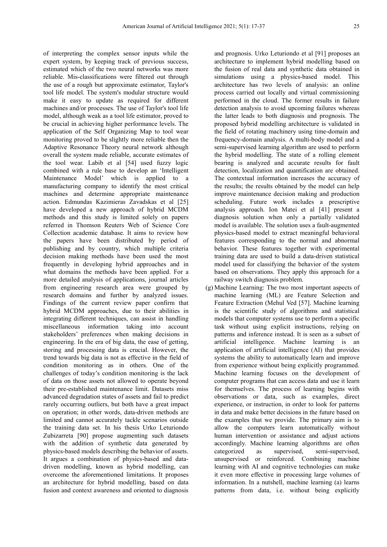of interpreting the complex sensor inputs while the expert system, by keeping track of previous success, estimated which of the two neural networks was more reliable. Mis-classifications were filtered out through the use of a rough but approximate estimator, Taylor's tool life model. The system's modular structure would make it easy to update as required for different machines and/or processes. The use of Taylor's tool life model, although weak as a tool life estimator, proved to be crucial in achieving higher performance levels. The application of the Self Organizing Map to tool wear monitoring proved to be slightly more reliable then the Adaptive Resonance Theory neural network although overall the system made reliable, accurate estimates of the tool wear. Labib et al [54] used fuzzy logic combined with a rule base to develop an 'Intelligent Maintenance Model' which is applied to a manufacturing company to identify the most critical machines and determine appropriate maintenance action. Edmundas Kazimieras Zavadskas et al [25] have developed a new approach of hybrid MCDM methods and this study is limited solely on papers referred in Thomson Reuters Web of Science Core Collection academic database. It aims to review how the papers have been distributed by period of publishing and by country, which multiple criteria decision making methods have been used the most frequently in developing hybrid approaches and in what domains the methods have been applied. For a more detailed analysis of applications, journal articles from engineering research area were grouped by research domains and further by analyzed issues. Findings of the current review paper confirm that hybrid MCDM approaches, due to their abilities in integrating different techniques, can assist in handling miscellaneous information taking into account stakeholders' preferences when making decisions in engineering. In the era of big data, the ease of getting, storing and processing data is crucial. However, the trend towards big data is not as effective in the field of condition monitoring as in others. One of the challenges of today's condition monitoring is the lack of data on those assets not allowed to operate beyond their pre-established maintenance limit. Datasets miss advanced degradation states of assets and fail to predict rarely occurring outliers, but both have a great impact on operation; in other words, data-driven methods are limited and cannot accurately tackle scenarios outside the training data set. In his thesis Urko Leturiondo Zubizarreta [90] propose augmenting such datasets with the addition of synthetic data generated by physics-based models describing the behavior of assets. It argues a combination of physics-based and datadriven modelling, known as hybrid modelling, can overcome the aforementioned limitations. It proposes an architecture for hybrid modelling, based on data fusion and context awareness and oriented to diagnosis and prognosis. Urko Leturiondo et al [91] proposes an architecture to implement hybrid modelling based on the fusion of real data and synthetic data obtained in simulations using a physics-based model. This architecture has two levels of analysis: an online process carried out locally and virtual commissioning performed in the cloud. The former results in failure detection analysis to avoid upcoming failures whereas the latter leads to both diagnosis and prognosis. The proposed hybrid modelling architecture is validated in the field of rotating machinery using time-domain and frequency-domain analysis. A multi-body model and a semi-supervised learning algorithm are used to perform the hybrid modelling. The state of a rolling element bearing is analyzed and accurate results for fault detection, localization and quantification are obtained. The contextual information increases the accuracy of the results; the results obtained by the model can help improve maintenance decision making and production scheduling. Future work includes a prescriptive analysis approach. Ion Matei et al [41] present a diagnosis solution when only a partially validated model is available. The solution uses a fault-augmented physics-based model to extract meaningful behavioral features corresponding to the normal and abnormal behavior. These features together with experimental training data are used to build a data-driven statistical model used for classifying the behavior of the system based on observations. They apply this approach for a railway switch diagnosis problem.

(g) Machine Learning: The two most important aspects of machine learning (ML) are Feature Selection and Feature Extraction (Mehul Ved [57]. Machine learning is the scientific study of algorithms and statistical models that computer systems use to perform a specific task without using explicit instructions, relying on patterns and inference instead. It is seen as a subset of artificial intelligence. Machine learning is an application of artificial intelligence (AI) that provides systems the ability to automatically learn and improve from experience without being explicitly programmed. Machine learning focuses on the development of computer programs that can access data and use it learn for themselves. The process of learning begins with observations or data, such as examples, direct experience, or instruction, in order to look for patterns in data and make better decisions in the future based on the examples that we provide. The primary aim is to allow the computers learn automatically without human intervention or assistance and adjust actions accordingly. Machine learning algorithms are often categorized as supervised, semi-supervised, unsupervised or reinforced. Combining machine learning with AI and cognitive technologies can make it even more effective in processing large volumes of information. In a nutshell, machine learning (a) learns patterns from data, i.e. without being explicitly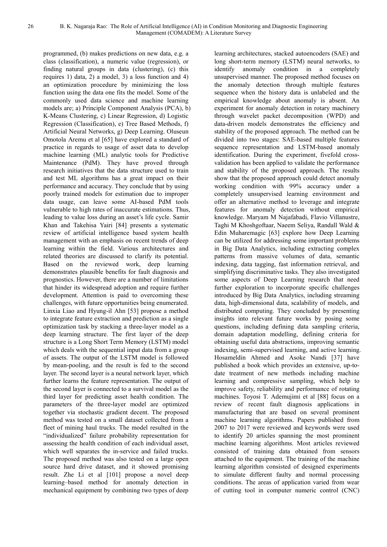programmed, (b) makes predictions on new data, e.g. a class (classification), a numeric value (regression), or finding natural groups in data (clustering), (c) this requires 1) data, 2) a model, 3) a loss function and 4) an optimization procedure by minimizing the loss function using the data one fits the model. Some of the commonly used data science and machine learning models are; a) Principle Component Analysis (PCA), b) K-Means Clustering, c) Linear Regression, d) Logistic Regression (Classification), e) Tree Based Methods, f) Artificial Neural Networks, g) Deep Learning. Oluseun Omotola Aremu et al [65] have explored a standard of practice in regards to usage of asset data to develop machine learning (ML) analytic tools for Predictive Maintenance (PdM). They have proved through research initiatives that the data structure used to train and test ML algorithms has a great impact on their performance and accuracy. They conclude that by using poorly trained models for estimation due to improper data usage, can leave some AI-based PdM tools vulnerable to high rates of inaccurate estimations. Thus, leading to value loss during an asset's life cycle. Samir Khan and Takehisa Yairi [84] presents a systematic review of artificial intelligence based system health management with an emphasis on recent trends of deep learning within the field. Various architectures and related theories are discussed to clarify its potential. Based on the reviewed work, deep learning demonstrates plausible benefits for fault diagnosis and prognostics. However, there are a number of limitations that hinder its widespread adoption and require further development. Attention is paid to overcoming these challenges, with future opportunities being enumerated. Linxia Liao and Hyung-il Ahn [53] propose a method to integrate feature extraction and prediction as a single optimization task by stacking a three-layer model as a deep learning structure. The first layer of the deep structure is a Long Short Term Memory (LSTM) model which deals with the sequential input data from a group of assets. The output of the LSTM model is followed by mean-pooling, and the result is fed to the second layer. The second layer is a neural network layer, which further learns the feature representation. The output of the second layer is connected to a survival model as the third layer for predicting asset health condition. The parameters of the three-layer model are optimized together via stochastic gradient decent. The proposed method was tested on a small dataset collected from a fleet of mining haul trucks. The model resulted in the "individualized" failure probability representation for assessing the health condition of each individual asset, which well separates the in-service and failed trucks. The proposed method was also tested on a large open source hard drive dataset, and it showed promising result. Zhe Li et al [101] propose a novel deep learning–based method for anomaly detection in mechanical equipment by combining two types of deep

learning architectures, stacked autoencoders (SAE) and long short-term memory (LSTM) neural networks, to identify anomaly condition in a completely unsupervised manner. The proposed method focuses on the anomaly detection through multiple features sequence when the history data is unlabeled and the empirical knowledge about anomaly is absent. An experiment for anomaly detection in rotary machinery through wavelet packet decomposition (WPD) and data-driven models demonstrates the efficiency and stability of the proposed approach. The method can be divided into two stages: SAE-based multiple features sequence representation and LSTM-based anomaly identification. During the experiment, fivefold crossvalidation has been applied to validate the performance and stability of the proposed approach. The results show that the proposed approach could detect anomaly working condition with 99% accuracy under a completely unsupervised learning environment and offer an alternative method to leverage and integrate features for anomaly detection without empirical knowledge. Maryam M Najafabadi, Flavio Villanustre, Taghi M Khoshgoftaar, Naeem Seliya, Randall Wald & Edin Muharemagic [63] explore how Deep Learning can be utilized for addressing some important problems in Big Data Analytics, including extracting complex patterns from massive volumes of data, semantic indexing, data tagging, fast information retrieval, and simplifying discriminative tasks. They also investigated some aspects of Deep Learning research that need further exploration to incorporate specific challenges introduced by Big Data Analytics, including streaming data, high-dimensional data, scalability of models, and distributed computing. They concluded by presenting insights into relevant future works by posing some questions, including defining data sampling criteria, domain adaptation modelling, defining criteria for obtaining useful data abstractions, improving semantic indexing, semi-supervised learning, and active learning. Hosameldin Ahmed and Asoke Nandi [37] have published a book which provides an extensive, up-todate treatment of new methods including machine learning and compressive sampling, which help to improve safety, reliability and performance of rotating machines. Toyosi T. Ademujimi et al [88] focus on a review of recent fault diagnosis applications in manufacturing that are based on several prominent machine learning algorithms. Papers published from 2007 to 2017 were reviewed and keywords were used to identify 20 articles spanning the most prominent machine learning algorithms. Most articles reviewed consisted of training data obtained from sensors attached to the equipment. The training of the machine learning algorithm consisted of designed experiments to simulate different faulty and normal processing conditions. The areas of application varied from wear of cutting tool in computer numeric control (CNC)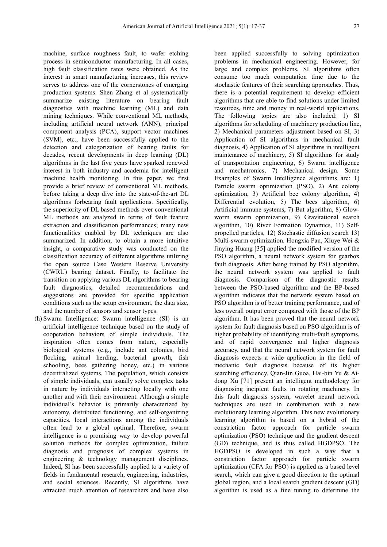machine, surface roughness fault, to wafer etching process in semiconductor manufacturing. In all cases, high fault classification rates were obtained. As the interest in smart manufacturing increases, this review serves to address one of the cornerstones of emerging production systems. Shen Zhang et al systematically summarize existing literature on bearing fault diagnostics with machine learning (ML) and data mining techniques. While conventional ML methods, including artificial neural network (ANN), principal component analysis (PCA), support vector machines (SVM), etc., have been successfully applied to the detection and categorization of bearing faults for decades, recent developments in deep learning (DL) algorithms in the last five years have sparked renewed interest in both industry and academia for intelligent machine health monitoring. In this paper, we first provide a brief review of conventional ML methods, before taking a deep dive into the state-of-the-art DL algorithms forbearing fault applications. Specifically, the superiority of DL based methods over conventional ML methods are analyzed in terms of fault feature extraction and classification performances; many new functionalities enabled by DL techniques are also summarized. In addition, to obtain a more intuitive insight, a comparative study was conducted on the classification accuracy of different algorithms utilizing the open source Case Western Reserve University (CWRU) bearing dataset. Finally, to facilitate the transition on applying various DL algorithms to bearing fault diagnostics, detailed recommendations and suggestions are provided for specific application conditions such as the setup environment, the data size,

(h) Swarm Intelligence: Swarm intelligence (SI) is an artificial intelligence technique based on the study of cooperation behaviors of simple individuals. The inspiration often comes from nature, especially biological systems (e.g., include ant colonies, bird flocking, animal herding, bacterial growth, fish schooling, bees gathering honey, etc.) in various decentralized systems. The population, which consists of simple individuals, can usually solve complex tasks in nature by individuals interacting locally with one another and with their environment. Although a simple individual's behavior is primarily characterized by autonomy, distributed functioning, and self-organizing capacities, local interactions among the individuals often lead to a global optimal. Therefore, swarm intelligence is a promising way to develop powerful solution methods for complex optimization, failure diagnosis and prognosis of complex systems in engineering & technology management disciplines. Indeed, SI has been successfully applied to a variety of fields in fundamental research, engineering, industries, and social sciences. Recently, SI algorithms have attracted much attention of researchers and have also

and the number of sensors and sensor types.

been applied successfully to solving optimization problems in mechanical engineering. However, for large and complex problems. SI algorithms often consume too much computation time due to the stochastic features of their searching approaches. Thus, there is a potential requirement to develop efficient algorithms that are able to find solutions under limited resources, time and money in real-world applications. The following topics are also included: 1) SI algorithms for scheduling of machinery production line, 2) Mechanical parameters adjustment based on SI, 3) Application of SI algorithms in mechanical fault diagnosis, 4) Application of SI algorithms in intelligent maintenance of machinery, 5) SI algorithms for study of transportation engineering, 6) Swarm intelligence and mechatronics, 7) Mechanical design. Some Examples of Swarm Intelligence algorithms are: 1) Particle swarm optimization (PSO), 2) Ant colony optimization, 3) Artificial bee colony algorithm, 4) Differential evolution, 5) The bees algorithm, 6) Artificial immune systems, 7) Bat algorithm, 8) Glowworm swarm optimization, 9) Gravitational search algorithm, 10) River Formation Dynamics, 11) Selfpropelled particles, 12) Stochastic diffusion search 13) Multi-swarm optimization. Hongxia Pan, Xiuye Wei & Jinying Huang [35] applied the modified version of the PSO algorithm, a neural network system for gearbox fault diagnosis. After being trained by PSO algorithm, the neural network system was applied to fault diagnosis. Comparison of the diagnostic results between the PSO-based algorithm and the BP-based algorithm indicates that the network system based on PSO algorithm is of better training performance, and of less overall output error compared with those of the BP algorithm. It has been proved that the neural network system for fault diagnosis based on PSO algorithm is of higher probability of identifying multi-fault symptoms, and of rapid convergence and higher diagnosis accuracy, and that the neural network system for fault diagnosis expects a wide application in the field of mechanic fault diagnosis because of its higher searching efficiency. Qian-Jin Guoa, Hai-bin Yu & Aidong Xu [71] present an intelligent methodology for diagnosing incipient faults in rotating machinery. In this fault diagnosis system, wavelet neural network techniques are used in combination with a new evolutionary learning algorithm. This new evolutionary learning algorithm is based on a hybrid of the constriction factor approach for particle swarm optimization (PSO) technique and the gradient descent (GD) technique, and is thus called HGDPSO. The HGDPSO is developed in such a way that a constriction factor approach for particle swarm optimization (CFA for PSO) is applied as a based level search, which can give a good direction to the optimal global region, and a local search gradient descent (GD) algorithm is used as a fine tuning to determine the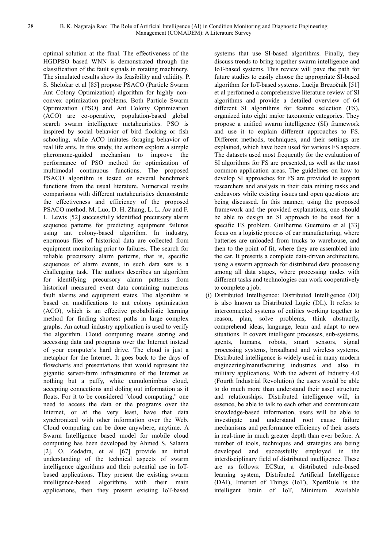optimal solution at the final. The effectiveness of the HGDPSO based WNN is demonstrated through the classification of the fault signals in rotating machinery. The simulated results show its feasibility and validity. P. S. Shelokar et al [85] propose PSACO (Particle Swarm Ant Colony Optimization) algorithm for highly nonconvex optimization problems. Both Particle Swarm Optimization (PSO) and Ant Colony Optimization (ACO) are co-operative, population-based global search swarm intelligence metaheuristics. PSO is inspired by social behavior of bird flocking or fish schooling, while ACO imitates foraging behavior of real life ants. In this study, the authors explore a simple pheromone-guided mechanism to improve the performance of PSO method for optimization of multimodal continuous functions. The proposed PSACO algorithm is tested on several benchmark functions from the usual literature. Numerical results comparisons with different metaheuristics demonstrate the effectiveness and efficiency of the proposed PSACO method. M. Luo, D. H. Zhang, L. L. Aw and F. L. Lewis [52] successfully identified precursory alarm sequence patterns for predicting equipment failures using ant colony-based algorithm. In industry, enormous files of historical data are collected from equipment monitoring prior to failures. The search for reliable precursory alarm patterns, that is, specific sequences of alarm events, in such data sets is a challenging task. The authors describes an algorithm for identifying precursory alarm patterns from historical measured event data containing numerous fault alarms and equipment states. The algorithm is based on modifications to ant colony optimization (ACO), which is an effective probabilistic learning method for finding shortest paths in large complex graphs. An actual industry application is used to verify the algorithm. Cloud computing means storing and accessing data and programs over the Internet instead of your computer's hard drive. The cloud is just a metaphor for the Internet. It goes back to the days of flowcharts and presentations that would represent the gigantic server-farm infrastructure of the Internet as nothing but a puffy, white cumulonimbus cloud, accepting connections and doling out information as it floats. For it to be considered "cloud computing," one need to access the data or the programs over the Internet, or at the very least, have that data synchronized with other information over the Web. Cloud computing can be done anywhere, anytime. A Swarm Intelligence based model for mobile cloud computing has been developed by Ahmed S. Salama [2]. O. Zedadra, et al [67] provide an initial understanding of the technical aspects of swarm intelligence algorithms and their potential use in IoTbased applications. They present the existing swarm intelligence-based algorithms with their main applications, then they present existing IoT-based

systems that use SI-based algorithms. Finally, they discuss trends to bring together swarm intelligence and IoT-based systems. This review will pave the path for future studies to easily choose the appropriate SI-based algorithm for IoT-based systems. Lucija Brezočnik [51] et al performed a comprehensive literature review of SI algorithms and provide a detailed overview of 64 different SI algorithms for feature selection (FS), organized into eight major taxonomic categories. They propose a unified swarm intelligence (SI) framework and use it to explain different approaches to FS. Different methods, techniques, and their settings are explained, which have been used for various FS aspects. The datasets used most frequently for the evaluation of SI algorithms for FS are presented, as well as the most common application areas. The guidelines on how to develop SI approaches for FS are provided to support researchers and analysts in their data mining tasks and endeavors while existing issues and open questions are being discussed. In this manner, using the proposed framework and the provided explanations, one should be able to design an SI approach to be used for a specific FS problem. Guilherme Guerreiro et al [33] focus on a logistic process of car manufacturing, where batteries are unloaded from trucks to warehouse, and then to the point of fit, where they are assembled into the car. It presents a complete data-driven architecture, using a swarm approach for distributed data processing among all data stages, where processing nodes with different tasks and technologies can work cooperatively to complete a job.

(i) Distributed Intelligence: Distributed Intelligence (DI) is also known as Distributed Logic (DL). It refers to interconnected systems of entities working together to reason, plan, solve problems, think abstractly, comprehend ideas, language, learn and adapt to new situations. It covers intelligent processes, sub-systems, agents, humans, robots, smart sensors, signal processing systems, broadband and wireless systems. Distributed intelligence is widely used in many modern engineering/manufacturing industries and also in military applications. With the advent of Industry 4.0 (Fourth Industrial Revolution) the users would be able to do much more than understand their asset structure and relationships. Distributed intelligence will, in essence, be able to talk to each other and communicate knowledge-based information, users will be able to investigate and understand root cause failure mechanisms and performance efficiency of their assets in real-time in much greater depth than ever before. A number of tools, techniques and strategies are being developed and successfully employed in the interdisciplinary field of distributed intelligence. These are as follows: ECStar, a distributed rule-based learning system, Distributed Artificial Intelligence (DAI), Internet of Things (IoT), XpertRule is the intelligent brain of IoT, Minimum Available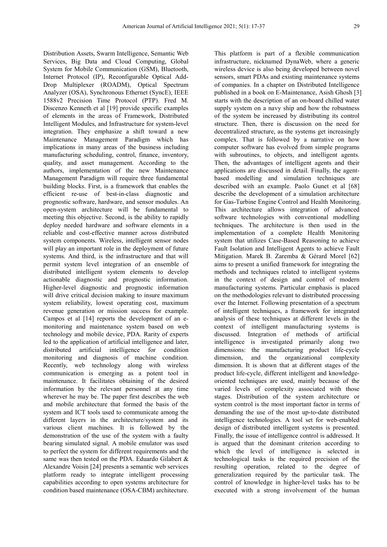Distribution Assets, Swarm Intelligence, Semantic Web Services, Big Data and Cloud Computing, Global System for Mobile Communication (GSM), Bluetooth, Internet Protocol (IP), Reconfigurable Optical Add-Drop Multiplexer (ROADM), Optical Spectrum

Analyzer (OSA), Synchronous Ethernet (SyncE), IEEE 1588v2 Precision Time Protocol (PTP). Fred M. Discenzo Kenneth et al [19] provide specific examples of elements in the areas of Framework, Distributed Intelligent Modules, and Infrastructure for system-level integration. They emphasize a shift toward a new Maintenance Management Paradigm which has implications in many areas of the business including manufacturing scheduling, control, finance, inventory, quality, and asset management. According to the authors, implementation of the new Maintenance Management Paradigm will require three fundamental building blocks. First, is a framework that enables the efficient re-use of best-in-class diagnostic and prognostic software, hardware, and sensor modules. An open-system architecture will be fundamental to meeting this objective. Second, is the ability to rapidly deploy needed hardware and software elements in a reliable and cost-effective manner across distributed system components. Wireless, intelligent sensor nodes will play an important role in the deployment of future systems. And third, is the infrastructure and that will permit system level integration of an ensemble of distributed intelligent system elements to develop actionable diagnostic and prognostic information. Higher-level diagnostic and prognostic information will drive critical decision making to insure maximum system reliability, lowest operating cost, maximum revenue generation or mission success for example. Campos et al [14] reports the development of an emonitoring and maintenance system based on web technology and mobile device, PDA. Rarity of experts led to the application of artificial intelligence and later, distributed artificial intelligence for condition monitoring and diagnosis of machine condition. Recently, web technology along with wireless communication is emerging as a potent tool in maintenance. It facilitates obtaining of the desired information by the relevant personnel at any time wherever he may be. The paper first describes the web and mobile architecture that formed the basis of the system and ICT tools used to communicate among the different layers in the architecture/system and its various client machines. It is followed by the demonstration of the use of the system with a faulty bearing simulated signal. A mobile emulator was used to perfect the system for different requirements and the same was then tested on the PDA. Eduardo Gilabert & Alexandre Voisin [24] presents a semantic web services platform ready to integrate intelligent processing capabilities according to open systems architecture for condition based maintenance (OSA-CBM) architecture.

This platform is part of a flexible communication infrastructure, nicknamed DynaWeb, where a generic wireless device is also being developed between novel sensors, smart PDAs and existing maintenance systems of companies. In a chapter on Distributed Intelligence published in a book on E-Maintenance, Asish Ghosh [3] starts with the description of an on-board chilled water supply system on a navy ship and how the robustness of the system be increased by distributing its control structure. Then, there is discussion on the need for decentralized structure, as the systems get increasingly complex. That is followed by a narrative on how computer software has evolved from simple programs with subroutines, to objects, and intelligent agents. Then, the advantages of intelligent agents and their applications are discussed in detail. Finally, the agentbased modelling and simulation techniques are described with an example. Paolo Gunet et al [68] describe the development of a simulation architecture for Gas-Turbine Engine Control and Health Monitoring. This architecture allows integration of advanced software technologies with conventional modelling techniques. The architecture is then used in the implementation of a complete Health Monitoring system that utilizes Case-Based Reasoning to achieve Fault Isolation and Intelligent Agents to achieve Fault Mitigation. Marek B. Zaremba & Gérard Morel [62] aims to present a unified framework for integrating the methods and techniques related to intelligent systems in the context of design and control of modern manufacturing systems. Particular emphasis is placed on the methodologies relevant to distributed processing over the Internet. Following presentation of a spectrum of intelligent techniques, a framework for integrated analysis of these techniques at different levels in the context of intelligent manufacturing systems is discussed. Integration of methods of artificial intelligence is investigated primarily along two dimensions: the manufacturing product life-cycle dimension, and the organizational complexity dimension. It is shown that at different stages of the product life-cycle, different intelligent and knowledgeoriented techniques are used, mainly because of the varied levels of complexity associated with those stages. Distribution of the system architecture or system control is the most important factor in terms of demanding the use of the most up-to-date distributed intelligence technologies. A tool set for web-enabled design of distributed intelligent systems is presented. Finally, the issue of intelligence control is addressed. It is argued that the dominant criterion according to which the level of intelligence is selected in technological tasks is the required precision of the resulting operation, related to the degree of generalization required by the particular task. The control of knowledge in higher-level tasks has to be executed with a strong involvement of the human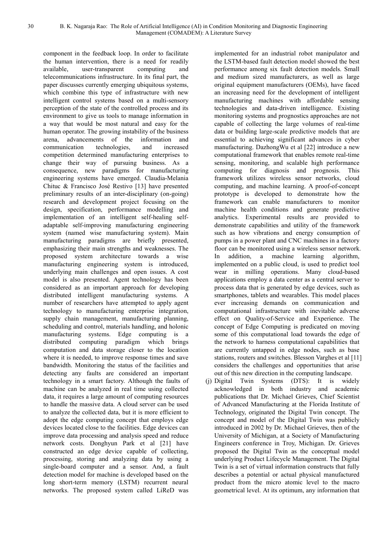component in the feedback loop. In order to facilitate the human intervention, there is a need for readily available, user-transparent computing and telecommunications infrastructure. In its final part, the paper discusses currently emerging ubiquitous systems, which combine this type of infrastructure with new intelligent control systems based on a multi-sensory perception of the state of the controlled process and its environment to give us tools to manage information in a way that would be most natural and easy for the human operator. The growing instability of the business arena, advancements of the information and communication technologies, and increased competition determined manufacturing enterprises to change their way of pursuing business. As a consequence, new paradigms for manufacturing engineering systems have emerged. Claudia-Melania Chituc & Francisco José Restivo [13] have presented preliminary results of an inter-disciplinary (on-going) research and development project focusing on the design, specification, performance modelling and implementation of an intelligent self-healing selfadaptable self-improving manufacturing engineering system (named wise manufacturing system). Main manufacturing paradigms are briefly presented, emphasizing their main strengths and weaknesses. The proposed system architecture towards a wise manufacturing engineering system is introduced, underlying main challenges and open issues. A cost model is also presented. Agent technology has been considered as an important approach for developing distributed intelligent manufacturing systems. A number of researchers have attempted to apply agent technology to manufacturing enterprise integration, supply chain management, manufacturing planning, scheduling and control, materials handling, and holonic manufacturing systems. Edge computing is a distributed computing paradigm which brings computation and data storage closer to the location where it is needed, to improve response times and save bandwidth. Monitoring the status of the facilities and detecting any faults are considered an important technology in a smart factory. Although the faults of machine can be analyzed in real time using collected data, it requires a large amount of computing resources to handle the massive data. A cloud server can be used to analyze the collected data, but it is more efficient to adopt the edge computing concept that employs edge devices located close to the facilities. Edge devices can improve data processing and analysis speed and reduce network costs. Donghyun Park et al [21] have constructed an edge device capable of collecting, processing, storing and analyzing data by using a single-board computer and a sensor. And, a fault detection model for machine is developed based on the long short-term memory (LSTM) recurrent neural networks. The proposed system called LiReD was

implemented for an industrial robot manipulator and the LSTM-based fault detection model showed the best performance among six fault detection models. Small and medium sized manufacturers, as well as large original equipment manufacturers (OEMs), have faced an increasing need for the development of intelligent manufacturing machines with affordable sensing technologies and data-driven intelligence. Existing monitoring systems and prognostics approaches are not capable of collecting the large volumes of real-time data or building large-scale predictive models that are essential to achieving significant advances in cyber manufacturing. DazhongWu et al [22] introduce a new computational framework that enables remote real-time sensing, monitoring, and scalable high performance computing for diagnosis and prognosis. This framework utilizes wireless sensor networks, cloud computing, and machine learning. A proof-of-concept prototype is developed to demonstrate how the framework can enable manufacturers to monitor machine health conditions and generate predictive analytics. Experimental results are provided to demonstrate capabilities and utility of the framework such as how vibrations and energy consumption of pumps in a power plant and CNC machines in a factory floor can be monitored using a wireless sensor network. In addition, a machine learning algorithm, implemented on a public cloud, is used to predict tool wear in milling operations. Many cloud-based applications employ a data center as a central server to process data that is generated by edge devices, such as smartphones, tablets and wearables. This model places ever increasing demands on communication and computational infrastructure with inevitable adverse effect on Quality-of-Service and Experience. The concept of Edge Computing is predicated on moving some of this computational load towards the edge of the network to harness computational capabilities that are currently untapped in edge nodes, such as base stations, routers and switches. Blesson Varghes et al [11] considers the challenges and opportunities that arise out of this new direction in the computing landscape.

(j) Digital Twin Systems (DTS): It is widely acknowledged in both industry and academic publications that Dr. Michael Grieves, Chief Scientist of Advanced Manufacturing at the Florida Institute of Technology, originated the Digital Twin concept. The concept and model of the Digital Twin was publicly introduced in 2002 by Dr. Michael Grieves, then of the University of Michigan, at a Society of Manufacturing Engineers conference in Troy, Michigan. Dr. Grieves proposed the Digital Twin as the conceptual model underlying Product Lifecycle Management. The Digital Twin is a set of virtual information constructs that fully describes a potential or actual physical manufactured product from the micro atomic level to the macro geometrical level. At its optimum, any information that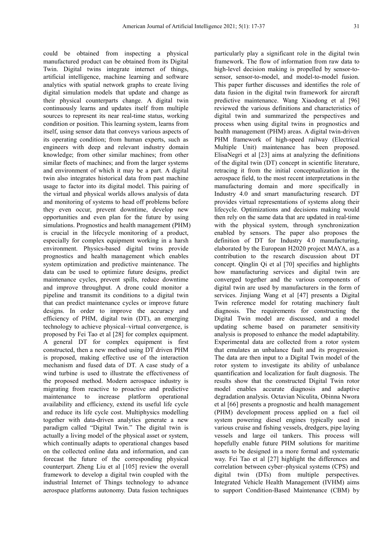could be obtained from inspecting a physical manufactured product can be obtained from its Digital Twin. Digital twins integrate internet of things, artificial intelligence, machine learning and software analytics with spatial network graphs to create living digital simulation models that update and change as their physical counterparts change. A digital twin continuously learns and updates itself from multiple sources to represent its near real-time status, working condition or position. This learning system, learns from itself, using sensor data that conveys various aspects of its operating condition; from human experts, such as engineers with deep and relevant industry domain knowledge; from other similar machines; from other similar fleets of machines; and from the larger systems and environment of which it may be a part. A digital twin also integrates historical data from past machine usage to factor into its digital model. This pairing of the virtual and physical worlds allows analysis of data and monitoring of systems to head off problems before they even occur, prevent downtime, develop new opportunities and even plan for the future by using simulations. Prognostics and health management (PHM) is crucial in the lifecycle monitoring of a product, especially for complex equipment working in a harsh environment. Physics-based digital twins provide prognostics and health management which enables system optimization and predictive maintenance. The data can be used to optimize future designs, predict maintenance cycles, prevent spills, reduce downtime and improve throughput. A drone could monitor a pipeline and transmit its conditions to a digital twin that can predict maintenance cycles or improve future designs. In order to improve the accuracy and efficiency of PHM, digital twin (DT), an emerging technology to achieve physical–virtual convergence, is proposed by Fei Tao et al [28] for complex equipment. A general DT for complex equipment is first constructed, then a new method using DT driven PHM is proposed, making effective use of the interaction mechanism and fused data of DT. A case study of a wind turbine is used to illustrate the effectiveness of the proposed method. Modern aerospace industry is migrating from reactive to proactive and predictive maintenance to increase platform operational availability and efficiency, extend its useful life cycle and reduce its life cycle cost. Multiphysics modelling together with data-driven analytics generate a new paradigm called "Digital Twin." The digital twin is actually a living model of the physical asset or system, which continually adapts to operational changes based on the collected online data and information, and can forecast the future of the corresponding physical counterpart. Zheng Liu et al [105] review the overall framework to develop a digital twin coupled with the industrial Internet of Things technology to advance aerospace platforms autonomy. Data fusion techniques

particularly play a significant role in the digital twin framework. The flow of information from raw data to high-level decision making is propelled by sensor-tosensor, sensor-to-model, and model-to-model fusion. This paper further discusses and identifies the role of data fusion in the digital twin framework for aircraft predictive maintenance. Wang Xiaodong et al [96] reviewed the various definitions and characteristics of digital twin and summarized the perspectives and process when using digital twins in prognostics and health management (PHM) areas. A digital twin-driven PHM framework of high-speed railway (Electrical Multiple Unit) maintenance has been proposed. ElisaNegri et al [23] aims at analyzing the definitions of the digital twin (DT) concept in scientific literature, retracing it from the initial conceptualization in the aerospace field, to the most recent interpretations in the manufacturing domain and more specifically in Industry 4.0 and smart manufacturing research. DT provides virtual representations of systems along their lifecycle. Optimizations and decisions making would then rely on the same data that are updated in real-time with the physical system, through synchronization enabled by sensors. The paper also proposes the definition of DT for Industry 4.0 manufacturing, elaborated by the European H2020 project MAYA, as a contribution to the research discussion about DT concept. Qinglin Qi et al [70] specifies and highlights how manufacturing services and digital twin are converged together and the various components of digital twin are used by manufacturers in the form of services. Jinjiang Wang et al [47] presents a Digital Twin reference model for rotating machinery fault diagnosis. The requirements for constructing the Digital Twin model are discussed, and a model updating scheme based on parameter sensitivity analysis is proposed to enhance the model adaptability. Experimental data are collected from a rotor system that emulates an unbalance fault and its progression. The data are then input to a Digital Twin model of the rotor system to investigate its ability of unbalance quantification and localization for fault diagnosis. The results show that the constructed Digital Twin rotor model enables accurate diagnosis and adaptive degradation analysis. Octavian Niculita, Obinna Nwora et al [66] presents a prognostic and health management (PHM) development process applied on a fuel oil system powering diesel engines typically used in various cruise and fishing vessels, dredgers, pipe laying vessels and large oil tankers. This process will hopefully enable future PHM solutions for maritime assets to be designed in a more formal and systematic way. Fei Tao et al [27] highlight the differences and correlation between cyber–physical systems (CPS) and digital twin (DTs) from multiple perspectives. Integrated Vehicle Health Management (IVHM) aims to support Condition-Based Maintenance (CBM) by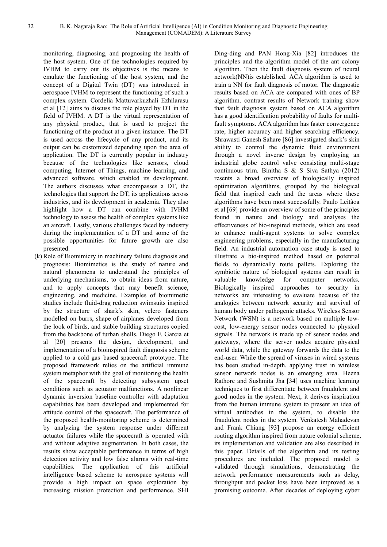monitoring, diagnosing, and prognosing the health of the host system. One of the technologies required by IVHM to carry out its objectives is the means to emulate the functioning of the host system, and the concept of a Digital Twin (DT) was introduced in aerospace IVHM to represent the functioning of such a complex system. Cordelia Mattuvarkuzhali Ezhilarasu et al [12] aims to discuss the role played by DT in the field of IVHM. A DT is the virtual representation of any physical product, that is used to project the functioning of the product at a given instance. The DT is used across the lifecycle of any product, and its output can be customized depending upon the area of application. The DT is currently popular in industry because of the technologies like sensors, cloud computing, Internet of Things, machine learning, and advanced software, which enabled its development. The authors discusses what encompasses a DT, the technologies that support the DT, its applications across industries, and its development in academia. They also highlight how a DT can combine with IVHM technology to assess the health of complex systems like an aircraft. Lastly, various challenges faced by industry during the implementation of a DT and some of the possible opportunities for future growth are also presented.

(k) Role of Biomimicry in machinery failure diagnosis and prognosis: Biomimetics is the study of nature and natural phenomena to understand the principles of underlying mechanisms, to obtain ideas from nature, and to apply concepts that may benefit science, engineering, and medicine. Examples of biomimetic studies include fluid-drag reduction swimsuits inspired by the structure of shark's skin, velcro fasteners modelled on burrs, shape of airplanes developed from the look of birds, and stable building structures copied from the backbone of turban shells. Diego F. Garcia et al [20] presents the design, development, and implementation of a bioinspired fault diagnosis scheme applied to a cold gas–based spacecraft prototype. The proposed framework relies on the artificial immune system metaphor with the goal of monitoring the health of the spacecraft by detecting subsystem upset conditions such as actuator malfunctions. A nonlinear dynamic inversion baseline controller with adaptation capabilities has been developed and implemented for attitude control of the spacecraft. The performance of the proposed health-monitoring scheme is determined by analyzing the system response under different actuator failures while the spacecraft is operated with and without adaptive augmentation. In both cases, the results show acceptable performance in terms of high detection activity and low false alarms with real-time capabilities. The application of this artificial intelligence–based scheme to aerospace systems will provide a high impact on space exploration by increasing mission protection and performance. SHI

Ding-ding and PAN Hong-Xia [82] introduces the principles and the algorithm model of the ant colony algorithm. Then the fault diagnosis system of neural network(NN)is established. ACA algorithm is used to train a NN for fault diagnosis of motor. The diagnostic results based on ACA are compared with ones of BP algorithm. contrast results of Network training show that fault diagnosis system based on ACA algorithm has a good identification probability of faults for multifault symptoms. ACA algorithm has faster convergence rate, higher accuracy and higher searching efficiency. Shrawasti Ganesh Sahare [86] investigated shark's skin ability to control the dynamic fluid environment through a novel inverse design by employing an industrial globe control valve consisting multi-stage continuous trim. Binitha S & S Siva Sathya (2012) resents a broad overview of biologically inspired optimization algorithms, grouped by the biological field that inspired each and the areas where these algorithms have been most successfully. Paulo Leitãoa et al [69] provide an overview of some of the principles found in nature and biology and analyses the effectiveness of bio-inspired methods, which are used to enhance multi-agent systems to solve complex engineering problems, especially in the manufacturing field. An industrial automation case study is used to illustrate a bio-inspired method based on potential fields to dynamically route pallets. Exploring the symbiotic nature of biological systems can result in valuable knowledge for computer networks. Biologically inspired approaches to security in networks are interesting to evaluate because of the analogies between network security and survival of human body under pathogenic attacks. Wireless Sensor Network (WSN) is a network based on multiple lowcost, low-energy sensor nodes connected to physical signals. The network is made up of sensor nodes and gateways, where the server nodes acquire physical world data, while the gateway forwards the data to the end-user. While the spread of viruses in wired systems has been studied in-depth, applying trust in wireless sensor network nodes is an emerging area. Heena Rathore and Sushmita Jha [34] uses machine learning techniques to first differentiate between fraudulent and good nodes in the system. Next, it derives inspiration from the human immune system to present an idea of virtual antibodies in the system, to disable the fraudulent nodes in the system. Venkatesh Mahadevan and Frank Chiang [93] propose an energy efficient routing algorithm inspired from nature colonial scheme, its implementation and validation are also described in this paper. Details of the algorithm and its testing procedures are included. The proposed model is validated through simulations, demonstrating the network performance measurements such as delay, throughput and packet loss have been improved as a promising outcome. After decades of deploying cyber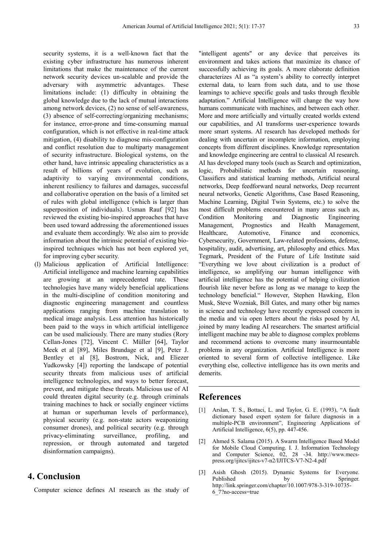security systems, it is a well-known fact that the existing cyber infrastructure has numerous inherent limitations that make the maintenance of the current network security devices un-scalable and provide the adversary with asymmetric advantages. These limitations include: (1) difficulty in obtaining the global knowledge due to the lack of mutual interactions among network devices, (2) no sense of self-awareness, (3) absence of self-correcting/organizing mechanisms; for instance, error-prone and time-consuming manual configuration, which is not effective in real-time attack mitigation, (4) disability to diagnose mis-configuration and conflict resolution due to multiparty management of security infrastructure. Biological systems, on the other hand, have intrinsic appealing characteristics as a result of billions of years of evolution, such as adaptivity to varying environmental conditions, inherent resiliency to failures and damages, successful and collaborative operation on the basis of a limited set of rules with global intelligence (which is larger than superposition of individuals). Usman Rauf [92] has reviewed the existing bio-inspired approaches that have been used toward addressing the aforementioned issues and evaluate them accordingly. We also aim to provide information about the intrinsic potential of existing bioinspired techniques which has not been explored yet, for improving cyber security.

(l) Malicious application of Artificial Intelligence: Artificial intelligence and machine learning capabilities are growing at an unprecedented rate. These technologies have many widely beneficial applications in the multi-discipline of condition monitoring and diagnostic engineering management and countless applications ranging from machine translation to medical image analysis. Less attention has historically been paid to the ways in which artificial intelligence can be used maliciously. There are many studies (Rory Cellan-Jones [72], Vincent C. Müller [64], Taylor Meek et al [89], Miles Brundage et al [9], Peter J. Bentley et al [8], Bostrom, Nick, and Eliezer Yudkowsky [4]) reporting the landscape of potential security threats from malicious uses of artificial intelligence technologies, and ways to better forecast, prevent, and mitigate these threats. Malicious use of AI could threaten digital security (e.g. through criminals training machines to hack or socially engineer victims at human or superhuman levels of performance), physical security (e.g. non-state actors weaponizing consumer drones), and political security (e.g. through privacy-eliminating surveillance, profiling, and repression, or through automated and targeted disinformation campaigns).

### **4. Conclusion**

Computer science defines AI research as the study of

"intelligent agents" or any device that perceives its environment and takes actions that maximize its chance of successfully achieving its goals. A more elaborate definition characterizes AI as "a system's ability to correctly interpret external data, to learn from such data, and to use those learnings to achieve specific goals and tasks through flexible adaptation." Artificial Intelligence will change the way how humans communicate with machines, and between each other. More and more artificially and virtually created worlds extend our capabilities, and AI transforms user-experience towards more smart systems. AI research has developed methods for dealing with uncertain or incomplete information, employing concepts from different disciplines. Knowledge representation and knowledge engineering are central to classical AI research. AI has developed many tools (such as Search and optimization, logic, Probabilistic methods for uncertain reasoning, Classifiers and statistical learning methods, Artificial neural networks, Deep feedforward neural networks, Deep recurrent neural networks, Genetic Algorithms, Case Based Reasoning, Machine Learning, Digital Twin Systems, etc.) to solve the most difficult problems encountered in many areas such as, Condition Monitoring and Diagnostic Engineering Management, Prognostics and Health Management, Healthcare, Automotive, Finance and economics, Cybersecurity, Government, Law-related professions, defense, hospitality, audit, advertising, art, philosophy and ethics. Max Tegmark, President of the Future of Life Institute said "Everything we love about civilization is a product of intelligence, so amplifying our human intelligence with artificial intelligence has the potential of helping civilization flourish like never before as long as we manage to keep the technology beneficial." However, Stephen Hawking, Elon Musk, Steve Wozniak, Bill Gates, and many other big names in science and technology have recently expressed concern in the media and via open letters about the risks posed by AI, joined by many leading AI researchers. The smartest artificial intelligent machine may be able to diagnose complex problems and recommend actions to overcome many insurmountable problems in any organization. Artificial Intelligence is more oriented to several form of collective intelligence. Like everything else, collective intelligence has its own merits and demerits.

### **References**

- [1] Arslan, T. S., Bottaci, L. and Taylor, G. E. (1993), "A fault dictionary based expert system for failure diagnosis in a multiple-PCB environment", Engineering Applications of Artificial Intelligence, 6(5), pp. 447-456.
- [2] Ahmed S. Salama (2015). A Swarm Intelligence Based Model for Mobile Cloud Computing. I. J. Information Technology and Computer Science, 02, 28 -34. http://www.mecspress.org/ijitcs/ijitcs-v7-n2/IJITCS-V7-N2-4.pdf
- [3] Asish Ghosh (2015). Dynamic Systems for Everyone. Published by Springer. http://link.springer.com/chapter/10.1007/978-3-319-10735- 6\_7?no-access=true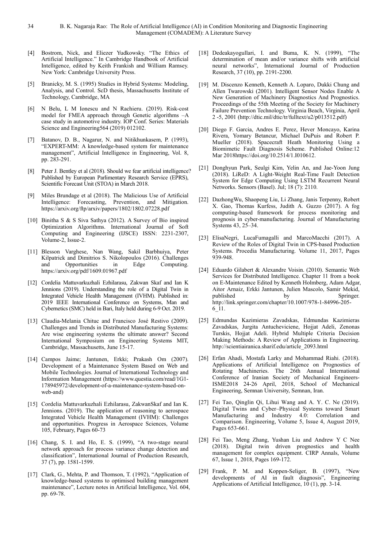- [4] Bostrom, Nick, and Eliezer Yudkowsky. "The Ethics of Artificial Intelligence." In Cambridge Handbook of Artificial Intelligence, edited by Keith Frankish and William Ramsey. New York: Cambridge University Press.
- [5] Branicky, M. S. (1995) Studies in Hybrid Systems: Modeling, Analysis, and Control. ScD thesis, Massachusetts Institute of Technology, Cambridge, MA
- [6] N Belu, L M Ionescu and N Rachieru. (2019). Risk-cost model for FMEA approach through Genetic algorithms –A case study in automotive industry. IOP Conf. Series: Materials Science and Engineering564 (2019) 012102.
- Batanov, D. B., Nagarur, N. and Nitikhunkasem, P. (1993), "EXPERT-MM: A knowledge-based system for maintenance management", Artificial Intelligence in Engineering, Vol. 8, pp. 283-291.
- [8] Peter J. Bentley et al (2018). Should we fear artificial intelligence? Published by European Parlimentary Research Service (EPRS), Scientific Forecast Unit (STOA) in March 2018.
- [9] Miles Brundage et al (2018). The Malicious Use of Artificial Intelligence: Forecasting, Prevention, and Mitigation. https://arxiv.org/ftp/arxiv/papers/1802/1802.07228.pdf
- [10] Binitha S & S Siva Sathya (2012). A Survey of Bio inspired Optimization Algorithms. International Journal of Soft Computing and Engineering (IJSCE) ISSN: 2231-2307, Volume-2, Issue-2.
- [11] Blesson Varghese, Nan Wang, Sakil Barbhuiya, Peter Kilpatrick and Dimitrios S. Nikolopoulos (2016). Challenges and Opportunities in Edge Computing. and Opportunities in Edge https://arxiv.org/pdf/1609.01967.pdf
- [12] Cordelia Mattuvarkuzhali Ezhilarasu, Zakwan Skaf and Ian K Jennions (2019). Understanding the role of a Digital Twin in Integrated Vehicle Health Management (IVHM). Published in: 2019 IEEE International Conference on Systems, Man and Cybernetics (SMC) held in Bari, Italy held during 6-9 Oct. 2019.
- [13] Claudia-Melania Chituc and Francisco José Restivo (2009). Challenges and Trends in Distributed Manufacturing Systems: Are wise engineering systems the ultimate answer? Second International Symposium on Engineering Systems MIT, Cambridge, Massachusetts, June 15-17.
- [14] Campos Jaime; Jantunen, Erkki; Prakash Om (2007). Development of a Maintenance System Based on Web and Mobile Technologies. Journal of International Technology and Information Management (https://www.questia.com/read/1G1- 178945972/development-of-a-maintenance-system-based-onweb-and)
- [15] Cordelia Mattuvarkuzhali Ezhilarasu, ZakwanSkaf and Ian K. Jennions. (2019). The application of reasoning to aerospace Integrated Vehicle Health Management (IVHM): Challenges and opportunities. Progress in Aerospace Sciences, Volume 105, February, Pages 60-73
- [16] Chang, S. I. and Ho, E. S. (1999), "A two-stage neural network approach for process variance change detection and classification", International Journal of Production Research, 37 (7), pp. 1581-1599.
- [17] Clark, G., Mehta, P. and Thomson, T. (1992), "Application of knowledge-based systems to optimised building management maintenance", Lecture notes in Artificial Intelligence, Vol. 604, pp. 69-78.
- [18] Dedeakayogullari, I. and Buma, K. N. (1999), "The determination of mean and/or variance shifts with artificial neural networks", International Journal of Production Research, 37 (10), pp. 2191-2200.
- [19] M. Discenzo Kenneth, Kenneth A. Loparo, Dukki Chung and Allen Twarowski (2001). Intelligent Sensor Nodes Enable A New Generation of Machinery Diagnostics And Prognostics. Proceedings of the 55th Meeting of the Society for Machinery Failure Prevention Technology. Virginia Beach, Virginia, April 2 -5, 2001 (http://dtic.mil/dtic/tr/fulltext/u2/p013512.pdf)
- [20] Diego F. Garcia, Andres E. Perez, Hever Moncayo, Karina Rivera, Yomary Betancur, Michael DuPuis and Robert P. Mueller (2018). Spacecraft Heath Monitoring Using a Biomimetic Fault Diagnosis Scheme. Published Online:12 Mar 2018https://doi.org/10.2514/1.I010612.
- [21] Donghyun Park, Seulgi Kim, Yelin An, and Jae-Yoon Jung (2018). LiReD: A Light-Weight Real-Time Fault Detection System for Edge Computing Using LSTM Recurrent Neural Networks. Sensors (Basel). Jul; 18 (7): 2110.
- [22] DazhongWu, Shaopeng Liu, Li Zhang, Janis Terpenny, Robert X. Gao, Thomas Kurfess, Judith A. Guzzo (2017). A fog computing-based framework for process monitoring and prognosis in cyber-manufacturing. Journal of Manufacturing Systems 43, 25–34.
- [23] ElisaNegri, LucaFumagalli and MarcoMacchi (2017). A Review of the Roles of Digital Twin in CPS-based Production Systems. Procedia Manufacturing. Volume 11, 2017, Pages 939-948.
- [24] Eduardo Gilabert & Alexandre Voisin. (2010). Semantic Web Services for Distributed Intelligence. Chapter 11 from a book on E-Maintenance Edited by Kenneth Holmberg, Adam Adgar, Aitor Arnaiz, Erkki Jantunen, Julien Mascolo, Samir Mekid, published by http://link.springer.com/chapter/10.1007/978-1-84996-205- 6\_11.
- [25] Edmundas Kazimieras Zavadskas, Edmundas Kazimieras Zavadskas, Jurgita Antucheviciene, Hojjat Adeli, Zenonas Turskis, Hojjat Adeli. Hybrid Multiple Criteria Decision Making Methods: A Review of Applications in Engineering. http://scientiairanica.sharif.edu/article\_2093.html
- [26] Erfan Ahadi, Mostafa Larky and Mohammad Riahi. (2018). Applications of Artificial Intelligence on Prognostics of Rotating Machineries. The 26th Annual International Conference of Iranian Society of Mechanical Engineers-ISME2018 24-26 April, 2018, School of Mechanical Engineering, Semnan University, Semnan, Iran.
- [27] Fei Tao, Qinglin Qi, Lihui Wang and A. Y. C. Ne (2019). Digital Twins and Cyber–Physical Systems toward Smart Manufacturing and Industry 4.0: Correlation and Comparison. Engineering, Volume 5, Issue 4, August 2019, Pages 653-661.
- [28] Fei Tao, Meng Zhang, Yushan Liu and Andrew Y C Nee (2018). Digital twin driven prognostics and health management for complex equipment. CIRP Annals, Volume 67, Issue 1, 2018, Pages 169-172.
- [29] Frank, P. M. and Koppen-Seliger, B. (1997), "New developments of AI in fault diagnosis", Engineering Applications of Artificial Intelligence, 10 (1), pp. 3-14.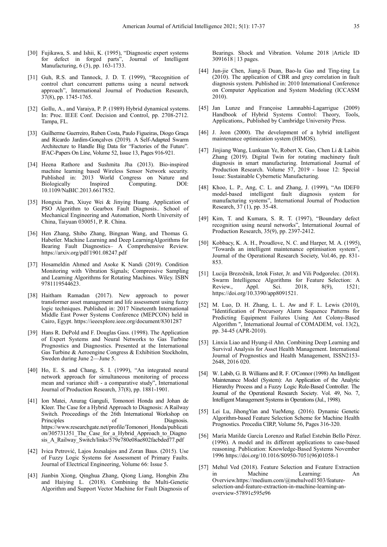- [30] Fujikawa, S. and Ishii, K. (1995), "Diagnostic expert systems for defect in forged parts", Journal of Intelligent Manufacturing, 6 (3), pp. 163-1733.
- [31] Guh, R.S. and Tannock, J. D. T. (1999), "Recognition of control chart concurrent patterns using a neural network approach", International Journal of Production Research, 37(8), pp. 1745-1765.
- [32] Gollu, A., and Varaiya, P. P. (1989) Hybrid dynamical systems. In: Proc. IEEE Conf. Decision and Control, pp. 2708-2712. Tampa, FL.
- [33] Guilherme Guerreiro, Ruben Costa, Paulo Figueiras, Diogo Graça and Ricardo Jardim-Gonçalves (2019). A Self-Adapted Swarm Architecture to Handle Big Data for "Factories of the Future". IFAC-Papers On Line, Volume 52, Issue 13, Pages 916-921.
- [34] Heena Rathore and Sushmita Jha (2013). Bio-inspired machine learning based Wireless Sensor Network security. Published in: 2013 World Congress on Nature and Biologically Inspired Computing. DOI: 10.1109/NaBIC.2013.6617852.
- [35] Hongxia Pan, Xiuye Wei & Jinying Huang. Application of PSO Algorithm to Gearbox Fault Diagnosis.. School of Mechanical Engineering and Automation, North University of China, Taiyuan 030051, P. R. China.
- [36] Hen Zhang, Shibo Zhang, Bingnan Wang, and Thomas G. Habetler. Machine Learning and Deep LearningAlgorithms for Bearing Fault Diagnostics– A Comprehensive Review. https://arxiv.org/pdf/1901.08247.pdf
- [37] Hosameldin Ahmed and Asoke K Nandi (2019). Condition Monitoring with Vibration Signals; Compressive Sampling and Learning Algorithms for Rotating Machines. Wiley. ISBN 9781119544623.
- [38] Haitham Ramadan (2017). New approach to power transformer asset management and life assessment using fuzzy logic techniques. Published in: 2017 Nineteenth International Middle East Power Systems Conference (MEPCON) held in Cairo, Egypt. https://ieeexplore.ieee.org/document/8301287
- [39] Hans R. DePold and F. Douglas Gass. (1998). The Application of Expert Systems and Neural Networks to Gas Turbine Prognostics and Diagnostics. Presented at the International Gas Turbine & Aeroengine Congress & Exhibition Stockholm, Sweden during June 2—June 5.
- [40] Ho, E. S. and Chang, S. I. (1999), "An integrated neural network approach for simultaneous monitoring of process mean and variance shift - a comparative study", International Journal of Production Research, 37(8), pp. 1881-1901.
- [41] Ion Matei, Anurag Ganguli, Tomonori Honda and Johan de Kleer. The Case for a Hybrid Approach to Diagnosis: A Railway Switch. Proceedings of the 26th International Workshop on Principles of Diagnosis. https://www.researchgate.net/profile/Tomonori\_Honda/publicati on/305731351 The Case for a Hybrid Approach to Diagno sis\_A\_Railway\_Switch/links/579e780e08ae802facbded77.pdf
- [42] Ivica Petrović, Lajos Jozsalajos and Zoran Baus. (2015). Use of Fuzzy Logic Systems for Assessment of Primary Faults. Journal of Electrical Engineering, Volume 66: Issue 5.
- [43] Jianbin Xiong, Qinghua Zhang, Qiong Liang, Hongbin Zhu and Haiying L. (2018). Combining the Multi-Genetic Algorithm and Support Vector Machine for Fault Diagnosis of

Bearings. Shock and Vibration. Volume 2018 |Article ID 3091618 | 13 pages.

- [44] Jun-jie Chen, Jiang-li Duan, Bao-lu Gao and Ting-ting Lu (2010). The application of CBR and grey correlation in fault diagnosis system. Published in: 2010 International Conference on Computer Application and System Modeling (ICCASM 2010).
- [45] Jan Lunze and Françoise Lamnabhi-Lagarrigue (2009) Handbook of Hybrid Systems Control: Theory, Tools, Applications,. Published by Cambridge University Press.
- [46] J. Jeon (2000). The development of a hybrid intelligent maintenance optimization system (HIMOS).
- [47] Jinjiang Wang, Lunkuan Ye, Robert X. Gao, Chen Li & Laibin Zhang (2019). Digital Twin for rotating machinery fault diagnosis in smart manufacturing. International Journal of Production Research. Volume 57, 2019 - Issue 12: Special Issue: Sustainable Cybernetic Manufacturing.
- [48] Khoo, L. P., Ang, C. L. and Zhang, J. (1999), "An IDEF0 model-based intelligent fault diagnosis system for manufacturing systems", International Journal of Production Research, 37 (1), pp. 35-48.
- [49] Kim, T. and Kumara, S. R. T. (1997), "Boundary defect recognition using neural networks", International Journal of Production Research, 35(9), pp. 2397-2412.
- [50] Kobbacy, K. A. H., Proudlove, N. C. and Harper, M. A. (1995). "Towards an intelligent maintenance optimisation system", Journal of the Operational Research Society, Vol.46, pp. 831- 853.
- [51] Lucija Brezočnik, Iztok Fister, Jr. and Vili Podgorelec. (2018). Swarm Intelligence Algorithms for Feature Selection: A Review., Appl. Sci. 2018, 8(9), 1521; https://doi.org/10.3390/app8091521.
- [52] M. Luo, D. H. Zhang, L. L. Aw and F. L. Lewis (2010), "Identification of Precursory Alarm Sequence Patterns for Predicting Equipment Failures Using Ant Colony-Based Algorithm ", International Journal of COMADEM, vol. 13(2), pp. 34-45 (APR-2010).
- [53] Linxia Liao and Hyung-il Ahn. Combining Deep Learning and Survival Analysis for Asset Health Management. International Journal of Prognostics and Health Management, ISSN2153- 2648, 2016 020.
- [54] W. Labib, G. B. Williams and R. F. O'Connor (1998) An Intelligent Maintenance Model (System): An Application of the Analytic Hierarchy Process and a Fuzzy Logic Rule-Based Controller. The Journal of the Operational Research Society. Vol. 49, No. 7, Intelligent Management Systems in Operations (Jul., 1998).
- [55] Lei Lu, JihongYan and YueMeng. (2016). Dynamic Genetic Algorithm-based Feature Selection Scheme for Machine Health Prognostics. Procedia CIRP, Volume 56, Pages 316-320.
- [56] María Matilde García Lorenzo and Rafael Estebán Bello Pérez. (1996). A model and its different applications to case-based reasoning. Publication: Knowledge-Based Systems November 1996 https://doi.org/10.1016/S0950-7051(96)01058-1
- [57] Mehul Ved (2018). Feature Selection and Feature Extraction in Machine Learning: An Overview.https://medium.com/@mehulved1503/featureselection-and-feature-extraction-in-machine-learning-anoverview-57891c595e96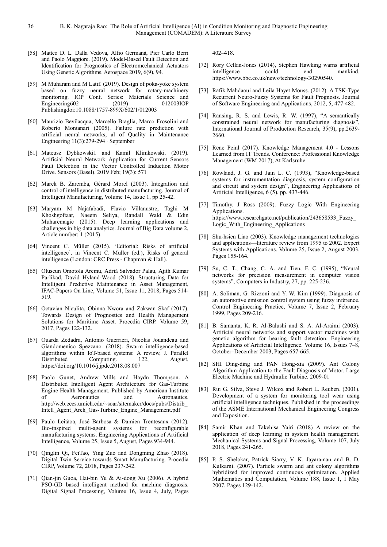- [58] Matteo D. L. Dalla Vedova, Alfio Germanà, Pier Carlo Berri and Paolo Maggiore. (2019). Model-Based Fault Detection and Identification for Prognostics of Electromechanical Actuators Using Genetic Algorithms. Aerospace 2019, 6(9), 94.
- [59] M Muharam and M Latif. (2019). Design of poka-yoke system based on fuzzy neural network for rotary-machinery monitoring. IOP Conf. Series: Materials Science and<br>Engineering602 (2019) 012003IOP Engineering $602$  (2019) Publishingdoi:10.1088/1757-899X/602/1/012003
- [60] Maurizio Bevilacqua, Marcello Braglia, Marco Frosolini and Roberto Montanari (2005). Failure rate prediction with artificial neural networks, al of Quality in Maintenance Engineering 11(3):279-294 · September
- [61] Mateusz Dybkowski1 and Kamil Klimkowski. (2019). Artificial Neural Network Application for Current Sensors Fault Detection in the Vector Controlled Induction Motor Drive. Sensors (Basel). 2019 Feb; 19(3): 571
- [62] Marek B. Zaremba, Gérard Morel (2003). Integration and control of intelligence in distributed manufacturing. Journal of Intelligent Manufacturing, Volume 14, Issue 1, pp 25-42.
- [63] Maryam M Najafabadi, Flavio Villanustre, Taghi M Khoshgoftaar, Naeem Seliya, Randall Wald & Edin Muharemagic (2015). Deep learning applications and challenges in big data analytics. Journal of Big Data volume 2, Article number: 1 (2015).
- [64] Vincent C. Müller (2015). 'Editorial: Risks of artificial intelligence', in Vincent C. Müller (ed.), Risks of general intelligence (London: CRC Press - Chapman & Hall).
- [65] Oluseun Omotola Aremu, Adrià Salvador Palau, Ajith Kumar Parlikad, David Hyland-Wood (2018). Structuring Data for Intelligent Predictive Maintenance in Asset Management, IFAC-Papers On Line, Volume 51, Issue 11, 2018, Pages 514- 519.
- [66] Octavian Niculita, Obinna Nwora and Zakwan Skaf (2017). Towards Design of Prognostics and Health Management Solutions for Maritime Asset. Procedia CIRP. Volume 59, 2017, Pages 122-132.
- [67] Ouarda Zedadra, Antonio Guerrieri, Nicolas Jouandeau and Giandomenico Spezzano. (2018). Swarm intelligence-based algorithms within IoT-based systems: A review, J. Parallel Computing. 122, August, https://doi.org/10.1016/j.jpdc.2018.08.007
- [68] Paolo Gunet, Andrew Mills and Haydn Thompson. A Distributed Intelligent Agent Architecture for Gas-Turbine Engine Health Management. Published by American Institute of Aeronautics and Astronautics. http://web.eecs.umich.edu/~soar/sitemaker/docs/pubs/Distrib\_ Intell\_Agent\_Arch\_Gas-Turbine\_Engine\_Management.pdf
- [69] Paulo Leitãoa, José Barbosa & Damien Trentesaux (2012). Bio-inspired multi-agent systems for reconfigurable manufacturing systems. Engineering Applications of Artificial Intelligence, Volume 25, Issue 5, August, Pages 934-944.
- [70] Qinglin Qi, FeiTao, Ying Zuo and Dongming Zhao (2018). Digital Twin Service towards Smart Manufacturing. Procedia CIRP, Volume 72, 2018, Pages 237-242.
- [71] Qian-jin Guoa, Hai-bin Yu & Ai-dong Xu (2006). A hybrid PSO-GD based intelligent method for machine diagnosis. Digital Signal Processing, Volume 16, Issue 4, July, Pages

402–418.

- [72] Rory Cellan-Jones (2014), Stephen Hawking warns artificial intelligence could end mankind. https://www.bbc.co.uk/news/technology-30290540.
- [73] Rafik Mahdaoui and Leila Hayet Mouss. (2012). A TSK-Type Recurrent Neuro-Fuzzy Systems for Fault Prognosis. Journal of Software Engineering and Applications, 2012, 5, 477-482.
- [74] Ransing, R. S. and Lewis, R. W. (1997), "A semantically constrained neural network for manufacturing diagnosis", International Journal of Production Research, 35(9), pp.2639- 2660.
- [75] Rene Peinl (2017). Knowledge Management 4.0 Lessons Learned from IT Trends. Conference: Professional Knowledge Management (WM 2017), At Karlsruhe.
- [76] Rowland, J. G. and Jain L. C. (1993), "Knowledge-based systems for instrumentation diagnosis, system configuration and circuit and system design", Engineering Applications of Artificial Intelligence, 6 (5), pp. 437-446.
- [77] Timothy. J Ross (2009). Fuzzy Logic With Engineering Applications. https://www.researchgate.net/publication/243658533\_Fuzzy\_ Logic With Engineering Applications
- [78] Shu-hsien Liao (2003). Knowledge management technologies and applications—literature review from 1995 to 2002. Expert Systems with Applications. Volume 25, Issue 2, August 2003, Pages 155-164.
- [79] Su, C. T., Chang, C. A. and Tien, F. C. (1995), "Neural networks for precision measurement in computer vision systems", Computers in Industry, 27, pp. 225-236.
- [80] A. Soliman, G. Rizzoni and Y. W. Kim (1999). Diagnosis of an automotive emission control system using fuzzy inference. Control Engineering Practice, Volume 7, Issue 2, February 1999, Pages 209-216.
- [81] B. Samanta, K. R. Al-Balushi and S. A. Al-Araimi (2003). Artificial neural networks and support vector machines with genetic algorithm for bearing fault detection. Engineering Applications of Artificial Intelligence. Volume 16, Issues 7–8, October–December 2003, Pages 657-665.
- [82] SHI Ding-ding and PAN Hong-xia (2009). Ant Colony Algorithm Application to the Fault Diagnosis of Motor. Large Electric Machine and Hydraulic Turbine. 2009-01
- [83] Rui G. Silva, Steve J. Wilcox and Robert L. Reuben. (2001). Development of a system for monitoring tool wear using artificial intelligence techniques. Published in the proceedings of the ASME International Mechanical Engineering Congress and Exposition.
- [84] Samir Khan and Takehisa Yairi (2018) A review on the application of deep learning in system health management. Mechanical Systems and Signal Processing, Volume 107, July 2018, Pages 241-265.
- [85] P. S. Shelokar, Patrick Siarry, V. K. Jayaraman and B. D. Kulkarni. (2007). Particle swarm and ant colony algorithms hybridized for improved continuous optimization. Applied Mathematics and Computation, Volume 188, Issue 1, 1 May 2007, Pages 129-142.